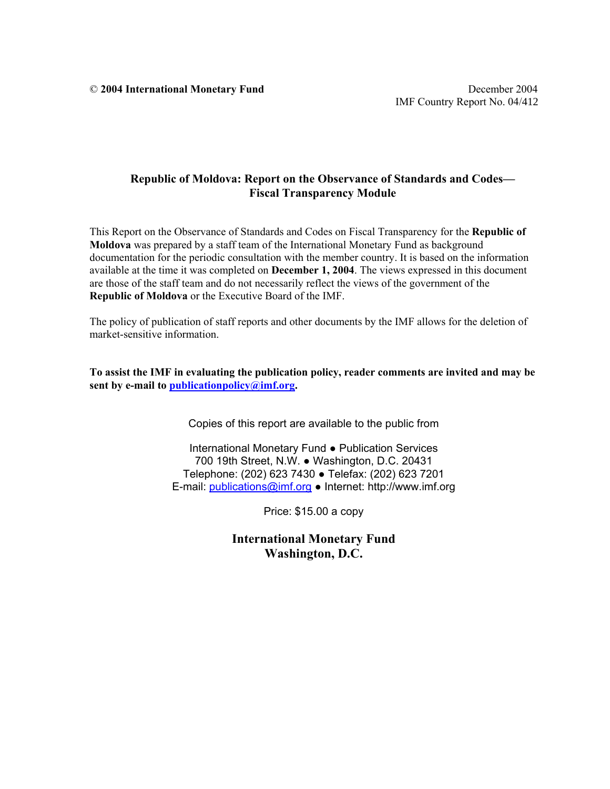© **2004 International Monetary Fund** December 2004

## **Republic of Moldova: Report on the Observance of Standards and Codes— Fiscal Transparency Module**

This Report on the Observance of Standards and Codes on Fiscal Transparency for the **Republic of Moldova** was prepared by a staff team of the International Monetary Fund as background documentation for the periodic consultation with the member country. It is based on the information available at the time it was completed on **December 1, 2004**. The views expressed in this document are those of the staff team and do not necessarily reflect the views of the government of the **Republic of Moldova** or the Executive Board of the IMF.

The policy of publication of staff reports and other documents by the IMF allows for the deletion of market-sensitive information.

**To assist the IMF in evaluating the publication policy, reader comments are invited and may be sent by e-mail to publicationpolicy@imf.org.** 

Copies of this report are available to the public from

International Monetary Fund ● Publication Services 700 19th Street, N.W. ● Washington, D.C. 20431 Telephone: (202) 623 7430 ● Telefax: (202) 623 7201 E-mail: publications@imf.org ● Internet: http://www.imf.org

Price: \$15.00 a copy

**International Monetary Fund Washington, D.C.**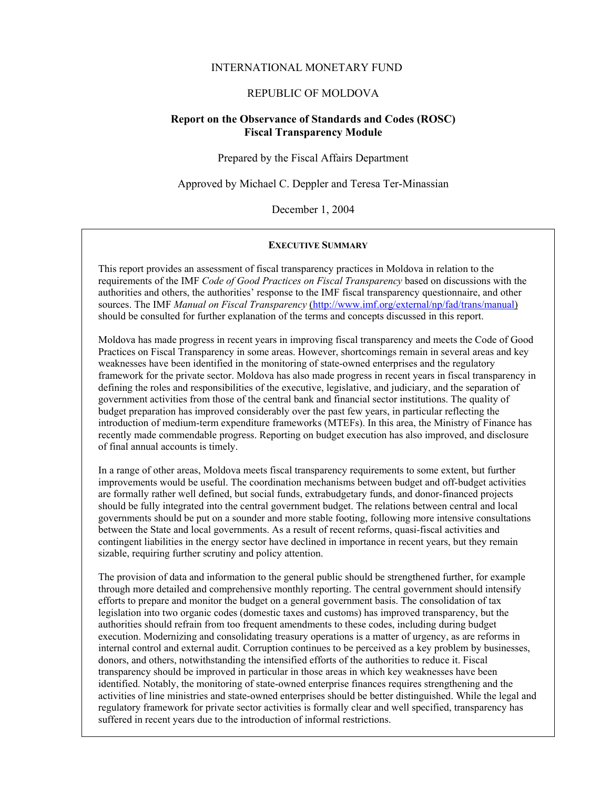## INTERNATIONAL MONETARY FUND

## REPUBLIC OF MOLDOVA

## **Report on the Observance of Standards and Codes (ROSC) Fiscal Transparency Module**

Prepared by the Fiscal Affairs Department

Approved by Michael C. Deppler and Teresa Ter-Minassian

December 1, 2004

#### **EXECUTIVE SUMMARY**

This report provides an assessment of fiscal transparency practices in Moldova in relation to the requirements of the IMF *Code of Good Practices on Fiscal Transparency* based on discussions with the authorities and others, the authorities' response to the IMF fiscal transparency questionnaire, and other sources. The IMF *Manual on Fiscal Transparency* (http://www.imf.org/external/np/fad/trans/manual) should be consulted for further explanation of the terms and concepts discussed in this report.

Moldova has made progress in recent years in improving fiscal transparency and meets the Code of Good Practices on Fiscal Transparency in some areas. However, shortcomings remain in several areas and key weaknesses have been identified in the monitoring of state-owned enterprises and the regulatory framework for the private sector. Moldova has also made progress in recent years in fiscal transparency in defining the roles and responsibilities of the executive, legislative, and judiciary, and the separation of government activities from those of the central bank and financial sector institutions. The quality of budget preparation has improved considerably over the past few years, in particular reflecting the introduction of medium-term expenditure frameworks (MTEFs). In this area, the Ministry of Finance has recently made commendable progress. Reporting on budget execution has also improved, and disclosure of final annual accounts is timely.

In a range of other areas, Moldova meets fiscal transparency requirements to some extent, but further improvements would be useful. The coordination mechanisms between budget and off-budget activities are formally rather well defined, but social funds, extrabudgetary funds, and donor-financed projects should be fully integrated into the central government budget. The relations between central and local governments should be put on a sounder and more stable footing, following more intensive consultations between the State and local governments. As a result of recent reforms, quasi-fiscal activities and contingent liabilities in the energy sector have declined in importance in recent years, but they remain sizable, requiring further scrutiny and policy attention.

The provision of data and information to the general public should be strengthened further, for example through more detailed and comprehensive monthly reporting. The central government should intensify efforts to prepare and monitor the budget on a general government basis. The consolidation of tax legislation into two organic codes (domestic taxes and customs) has improved transparency, but the authorities should refrain from too frequent amendments to these codes, including during budget execution. Modernizing and consolidating treasury operations is a matter of urgency, as are reforms in internal control and external audit. Corruption continues to be perceived as a key problem by businesses, donors, and others, notwithstanding the intensified efforts of the authorities to reduce it. Fiscal transparency should be improved in particular in those areas in which key weaknesses have been identified. Notably, the monitoring of state-owned enterprise finances requires strengthening and the activities of line ministries and state-owned enterprises should be better distinguished. While the legal and regulatory framework for private sector activities is formally clear and well specified, transparency has suffered in recent years due to the introduction of informal restrictions.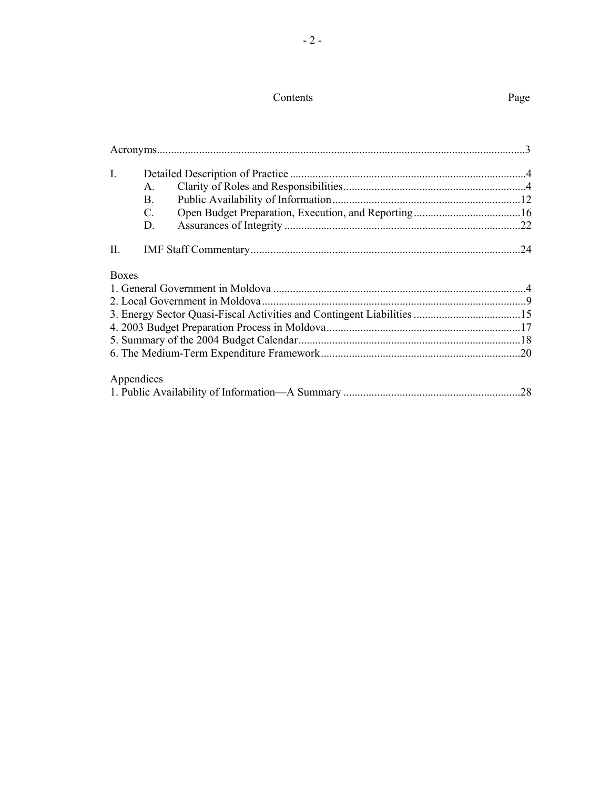# Contents Page

| $\mathbf{I}$ . | $\mathsf{A}$ .<br><b>B.</b> |  |    |  |
|----------------|-----------------------------|--|----|--|
|                | $C_{\cdot}$<br>D.           |  |    |  |
| П.             |                             |  | 24 |  |
| <b>Boxes</b>   |                             |  |    |  |
|                |                             |  |    |  |
|                |                             |  |    |  |
|                |                             |  |    |  |
|                |                             |  |    |  |
|                |                             |  |    |  |
|                |                             |  |    |  |
|                | Appendices                  |  |    |  |
|                |                             |  |    |  |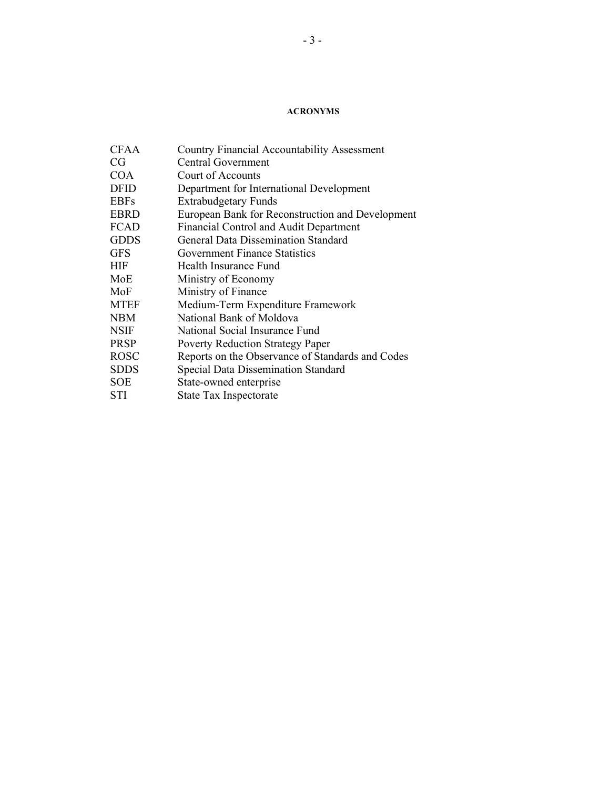#### **ACRONYMS**

| <b>Country Financial Accountability Assessment</b> |
|----------------------------------------------------|
| <b>Central Government</b>                          |
| Court of Accounts                                  |
| Department for International Development           |
| <b>Extrabudgetary Funds</b>                        |
| European Bank for Reconstruction and Development   |
| Financial Control and Audit Department             |
| General Data Dissemination Standard                |
| <b>Government Finance Statistics</b>               |
| Health Insurance Fund                              |
| Ministry of Economy                                |
| Ministry of Finance                                |
| Medium-Term Expenditure Framework                  |
| National Bank of Moldova                           |
| National Social Insurance Fund                     |
| <b>Poverty Reduction Strategy Paper</b>            |
| Reports on the Observance of Standards and Codes   |
| <b>Special Data Dissemination Standard</b>         |
| State-owned enterprise                             |
| State Tax Inspectorate                             |
|                                                    |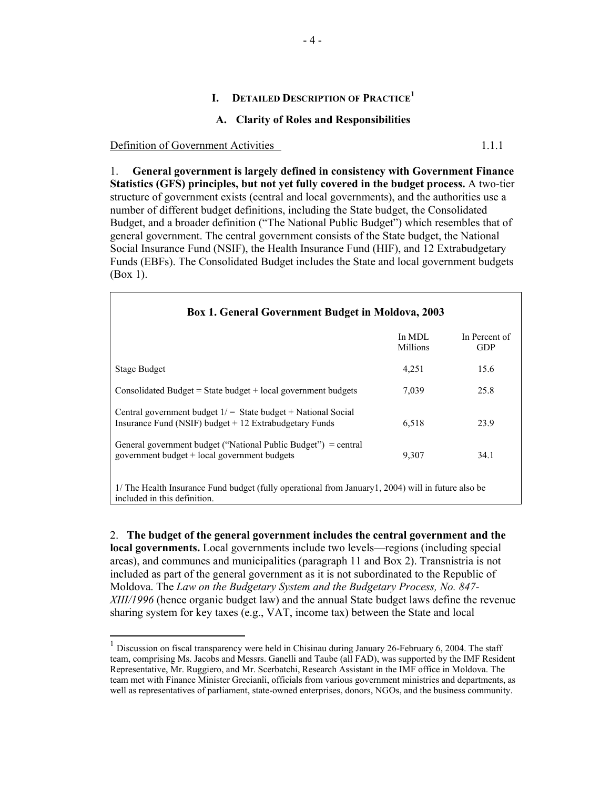#### **I. DETAILED DESCRIPTION OF PRACTICE1**

#### **A. Clarity of Roles and Responsibilities**

Definition of Government Activities 1.1.1

 $\overline{a}$ 

1. **General government is largely defined in consistency with Government Finance Statistics (GFS) principles, but not yet fully covered in the budget process.** A two-tier structure of government exists (central and local governments), and the authorities use a number of different budget definitions, including the State budget, the Consolidated Budget, and a broader definition ("The National Public Budget") which resembles that of general government. The central government consists of the State budget, the National Social Insurance Fund (NSIF), the Health Insurance Fund (HIF), and 12 Extrabudgetary Funds (EBFs). The Consolidated Budget includes the State and local government budgets (Box 1).

| <b>Box 1. General Government Budget in Moldova, 2003</b>                                                                            |                    |                             |
|-------------------------------------------------------------------------------------------------------------------------------------|--------------------|-----------------------------|
|                                                                                                                                     | In MDL<br>Millions | In Percent of<br><b>GDP</b> |
| <b>Stage Budget</b>                                                                                                                 | 4,251              | 15.6                        |
| Consolidated Budget = State budget + local government budgets                                                                       | 7,039              | 25.8                        |
| Central government budget $1/$ = State budget + National Social<br>Insurance Fund (NSIF) budget $+12$ Extrabudgetary Funds          | 6,518              | 23.9                        |
| General government budget ("National Public Budget") = central<br>government budget + local government budgets                      | 9.307              | 34.1                        |
| 1/ The Health Insurance Fund budget (fully operational from January 1, 2004) will in future also be<br>included in this definition. |                    |                             |

2. **The budget of the general government includes the central government and the local governments.** Local governments include two levels—regions (including special areas), and communes and municipalities (paragraph 11 and Box 2). Transnistria is not included as part of the general government as it is not subordinated to the Republic of Moldova. The *Law on the Budgetary System and the Budgetary Process, No. 847- XIII/1996* (hence organic budget law) and the annual State budget laws define the revenue sharing system for key taxes (e.g., VAT, income tax) between the State and local

<sup>1</sup> Discussion on fiscal transparency were held in Chisinau during January 26-February 6, 2004. The staff team, comprising Ms. Jacobs and Messrs. Ganelli and Taube (all FAD), was supported by the IMF Resident Representative, Mr. Ruggiero, and Mr. Scerbatchi, Research Assistant in the IMF office in Moldova. The team met with Finance Minister Grecianîi, officials from various government ministries and departments, as well as representatives of parliament, state-owned enterprises, donors, NGOs, and the business community.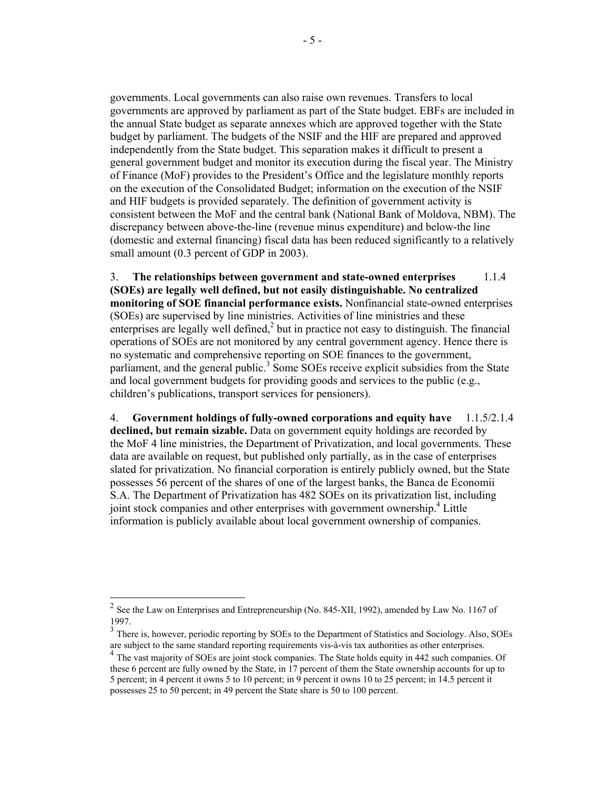governments. Local governments can also raise own revenues. Transfers to local governments are approved by parliament as part of the State budget. EBFs are included in the annual State budget as separate annexes which are approved together with the State budget by parliament. The budgets of the NSIF and the HIF are prepared and approved independently from the State budget. This separation makes it difficult to present a general government budget and monitor its execution during the fiscal year. The Ministry of Finance (MoF) provides to the President's Office and the legislature monthly reports on the execution of the Consolidated Budget; information on the execution of the NSIF and HIF budgets is provided separately. The definition of government activity is consistent between the MoF and the central bank (National Bank of Moldova, NBM). The discrepancy between above-the-line (revenue minus expenditure) and below-the line (domestic and external financing) fiscal data has been reduced significantly to a relatively small amount (0.3 percent of GDP in 2003).

3. **The relationships between government and state-owned enterprises** 1.1.4 **(SOEs) are legally well defined, but not easily distinguishable. No centralized monitoring of SOE financial performance exists.** Nonfinancial state-owned enterprises (SOEs) are supervised by line ministries. Activities of line ministries and these enterprises are legally well defined,<sup>2</sup> but in practice not easy to distinguish. The financial operations of SOEs are not monitored by any central government agency. Hence there is no systematic and comprehensive reporting on SOE finances to the government, parliament, and the general public.<sup>3</sup> Some SOEs receive explicit subsidies from the State and local government budgets for providing goods and services to the public (e.g., children's publications, transport services for pensioners).

4. **Government holdings of fully-owned corporations and equity have** 1.1.5/2.1.4 **declined, but remain sizable.** Data on government equity holdings are recorded by the MoF 4 line ministries, the Department of Privatization, and local governments. These data are available on request, but published only partially, as in the case of enterprises slated for privatization. No financial corporation is entirely publicly owned, but the State possesses 56 percent of the shares of one of the largest banks, the Banca de Economii S.A. The Department of Privatization has 482 SOEs on its privatization list, including joint stock companies and other enterprises with government ownership.<sup>4</sup> Little information is publicly available about local government ownership of companies.

 $\overline{a}$ 

<sup>&</sup>lt;sup>2</sup> See the Law on Enterprises and Entrepreneurship (No. 845-XII, 1992), amended by Law No. 1167 of 1997.

<sup>&</sup>lt;sup>3</sup> There is, however, periodic reporting by SOEs to the Department of Statistics and Sociology. Also, SOEs are subject to the same standard reporting requirements vis-à-vis tax authorities as other enterprises.

<sup>&</sup>lt;sup>4</sup> The vast majority of SOEs are joint stock companies. The State holds equity in 442 such companies. Of these 6 percent are fully owned by the State, in 17 percent of them the State ownership accounts for up to 5 percent; in 4 percent it owns 5 to 10 percent; in 9 percent it owns 10 to 25 percent; in 14.5 percent it possesses 25 to 50 percent; in 49 percent the State share is 50 to 100 percent.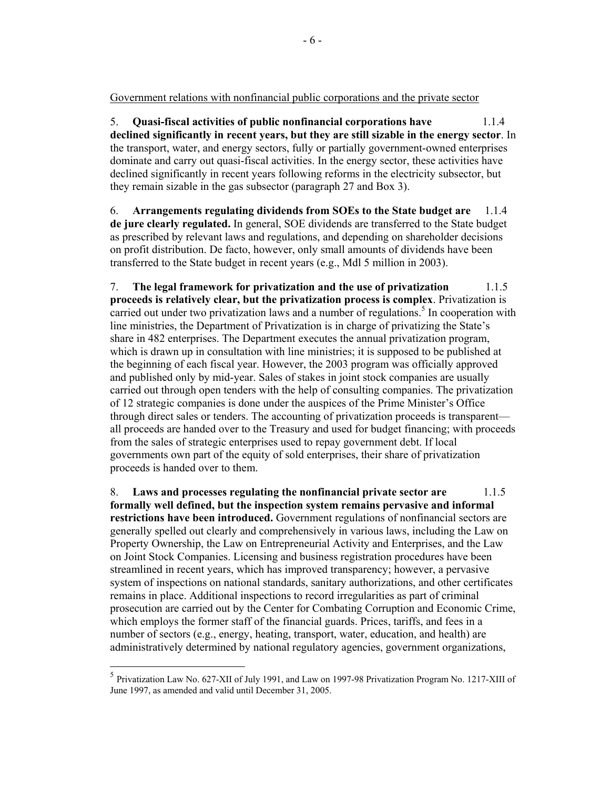Government relations with nonfinancial public corporations and the private sector

5. **Quasi-fiscal activities of public nonfinancial corporations have** 1.1.4 **declined significantly in recent years, but they are still sizable in the energy sector**. In the transport, water, and energy sectors, fully or partially government-owned enterprises dominate and carry out quasi-fiscal activities. In the energy sector, these activities have declined significantly in recent years following reforms in the electricity subsector, but they remain sizable in the gas subsector (paragraph 27 and Box 3).

6. **Arrangements regulating dividends from SOEs to the State budget are** 1.1.4 **de jure clearly regulated.** In general, SOE dividends are transferred to the State budget as prescribed by relevant laws and regulations, and depending on shareholder decisions on profit distribution. De facto, however, only small amounts of dividends have been transferred to the State budget in recent years (e.g., Mdl 5 million in 2003).

7. **The legal framework for privatization and the use of privatization** 1.1.5 **proceeds is relatively clear, but the privatization process is complex**. Privatization is carried out under two privatization laws and a number of regulations.<sup>5</sup> In cooperation with line ministries, the Department of Privatization is in charge of privatizing the State's share in 482 enterprises. The Department executes the annual privatization program, which is drawn up in consultation with line ministries; it is supposed to be published at the beginning of each fiscal year. However, the 2003 program was officially approved and published only by mid-year. Sales of stakes in joint stock companies are usually carried out through open tenders with the help of consulting companies. The privatization of 12 strategic companies is done under the auspices of the Prime Minister's Office through direct sales or tenders. The accounting of privatization proceeds is transparent all proceeds are handed over to the Treasury and used for budget financing; with proceeds from the sales of strategic enterprises used to repay government debt. If local governments own part of the equity of sold enterprises, their share of privatization proceeds is handed over to them.

8. **Laws and processes regulating the nonfinancial private sector are** 1.1.5 **formally well defined, but the inspection system remains pervasive and informal restrictions have been introduced.** Government regulations of nonfinancial sectors are generally spelled out clearly and comprehensively in various laws, including the Law on Property Ownership, the Law on Entrepreneurial Activity and Enterprises, and the Law on Joint Stock Companies. Licensing and business registration procedures have been streamlined in recent years, which has improved transparency; however, a pervasive system of inspections on national standards, sanitary authorizations, and other certificates remains in place. Additional inspections to record irregularities as part of criminal prosecution are carried out by the Center for Combating Corruption and Economic Crime, which employs the former staff of the financial guards. Prices, tariffs, and fees in a number of sectors (e.g., energy, heating, transport, water, education, and health) are administratively determined by national regulatory agencies, government organizations,

 $\overline{a}$ 

<sup>5</sup> Privatization Law No. 627-XII of July 1991, and Law on 1997-98 Privatization Program No. 1217-XIII of June 1997, as amended and valid until December 31, 2005.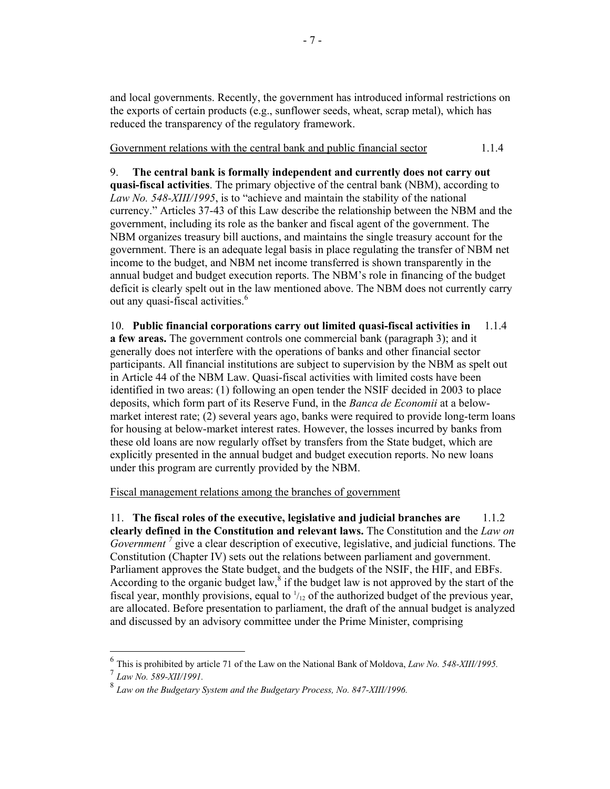and local governments. Recently, the government has introduced informal restrictions on the exports of certain products (e.g., sunflower seeds, wheat, scrap metal), which has reduced the transparency of the regulatory framework.

Government relations with the central bank and public financial sector 1.1.4

9. **The central bank is formally independent and currently does not carry out quasi-fiscal activities**. The primary objective of the central bank (NBM), according to *Law No. 548-XIII/1995*, is to "achieve and maintain the stability of the national currency." Articles 37-43 of this Law describe the relationship between the NBM and the government, including its role as the banker and fiscal agent of the government. The NBM organizes treasury bill auctions, and maintains the single treasury account for the government. There is an adequate legal basis in place regulating the transfer of NBM net income to the budget, and NBM net income transferred is shown transparently in the annual budget and budget execution reports. The NBM's role in financing of the budget deficit is clearly spelt out in the law mentioned above. The NBM does not currently carry out any quasi-fiscal activities.<sup>6</sup>

10. **Public financial corporations carry out limited quasi-fiscal activities in** 1.1.4 **a few areas.** The government controls one commercial bank (paragraph 3); and it generally does not interfere with the operations of banks and other financial sector participants. All financial institutions are subject to supervision by the NBM as spelt out in Article 44 of the NBM Law. Quasi-fiscal activities with limited costs have been identified in two areas: (1) following an open tender the NSIF decided in 2003 to place deposits, which form part of its Reserve Fund, in the *Banca de Economii* at a belowmarket interest rate; (2) several years ago, banks were required to provide long-term loans for housing at below-market interest rates. However, the losses incurred by banks from these old loans are now regularly offset by transfers from the State budget, which are explicitly presented in the annual budget and budget execution reports. No new loans under this program are currently provided by the NBM.

Fiscal management relations among the branches of government

11. **The fiscal roles of the executive, legislative and judicial branches are** 1.1.2 **clearly defined in the Constitution and relevant laws.** The Constitution and the *Law on Government*<sup>7</sup> give a clear description of executive, legislative, and judicial functions. The Constitution (Chapter IV) sets out the relations between parliament and government. Parliament approves the State budget, and the budgets of the NSIF, the HIF, and EBFs. According to the organic budget law, $\delta$  if the budget law is not approved by the start of the fiscal year, monthly provisions, equal to  $\frac{1}{12}$  of the authorized budget of the previous year, are allocated. Before presentation to parliament, the draft of the annual budget is analyzed and discussed by an advisory committee under the Prime Minister, comprising

<sup>6</sup> This is prohibited by article 71 of the Law on the National Bank of Moldova, *Law No. 548-XIII/1995.*

<sup>7</sup> *Law No. 589-XII/1991.*

<sup>8</sup> *Law on the Budgetary System and the Budgetary Process, No. 847-XIII/1996.*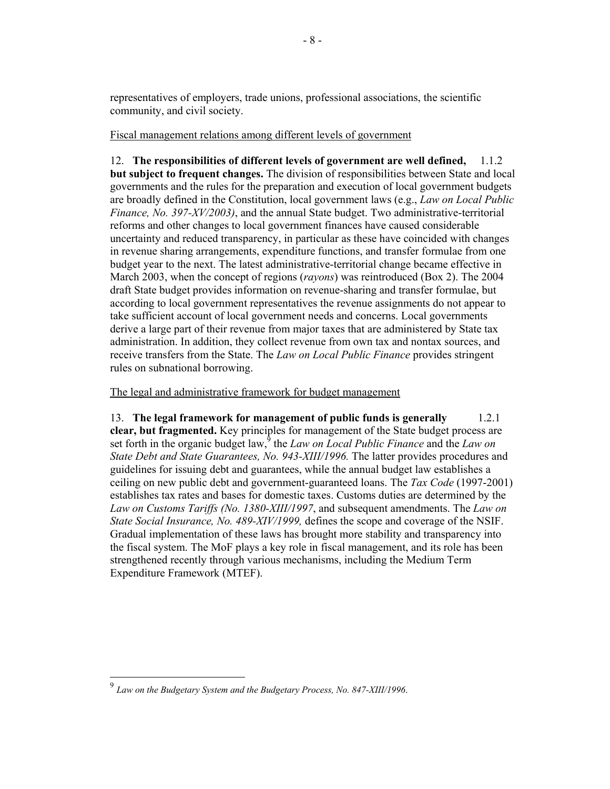representatives of employers, trade unions, professional associations, the scientific community, and civil society.

Fiscal management relations among different levels of government

12. **The responsibilities of different levels of government are well defined,** 1.1.2 **but subject to frequent changes.** The division of responsibilities between State and local governments and the rules for the preparation and execution of local government budgets are broadly defined in the Constitution, local government laws (e.g., *Law on Local Public Finance, No. 397-XV/2003)*, and the annual State budget. Two administrative-territorial reforms and other changes to local government finances have caused considerable uncertainty and reduced transparency, in particular as these have coincided with changes in revenue sharing arrangements, expenditure functions, and transfer formulae from one budget year to the next. The latest administrative-territorial change became effective in March 2003, when the concept of regions (*rayons*) was reintroduced (Box 2). The 2004 draft State budget provides information on revenue-sharing and transfer formulae, but according to local government representatives the revenue assignments do not appear to take sufficient account of local government needs and concerns. Local governments derive a large part of their revenue from major taxes that are administered by State tax administration. In addition, they collect revenue from own tax and nontax sources, and receive transfers from the State. The *Law on Local Public Finance* provides stringent rules on subnational borrowing.

The legal and administrative framework for budget management

13. **The legal framework for management of public funds is generally** 1.2.1 **clear, but fragmented.** Key principles for management of the State budget process are set forth in the organic budget law,<sup>9</sup> the *Law on Local Public Finance* and the *Law on State Debt and State Guarantees, No. 943-XIII/1996.* The latter provides procedures and guidelines for issuing debt and guarantees, while the annual budget law establishes a ceiling on new public debt and government-guaranteed loans. The *Tax Code* (1997-2001) establishes tax rates and bases for domestic taxes. Customs duties are determined by the *Law on Customs Tariffs (No. 1380-XIII/1997*, and subsequent amendments. The *Law on State Social Insurance, No. 489-XIV/1999,* defines the scope and coverage of the NSIF. Gradual implementation of these laws has brought more stability and transparency into the fiscal system. The MoF plays a key role in fiscal management, and its role has been strengthened recently through various mechanisms, including the Medium Term Expenditure Framework (MTEF).

 $\overline{a}$ 

<sup>9</sup> *Law on the Budgetary System and the Budgetary Process, No. 847-XIII/1996*.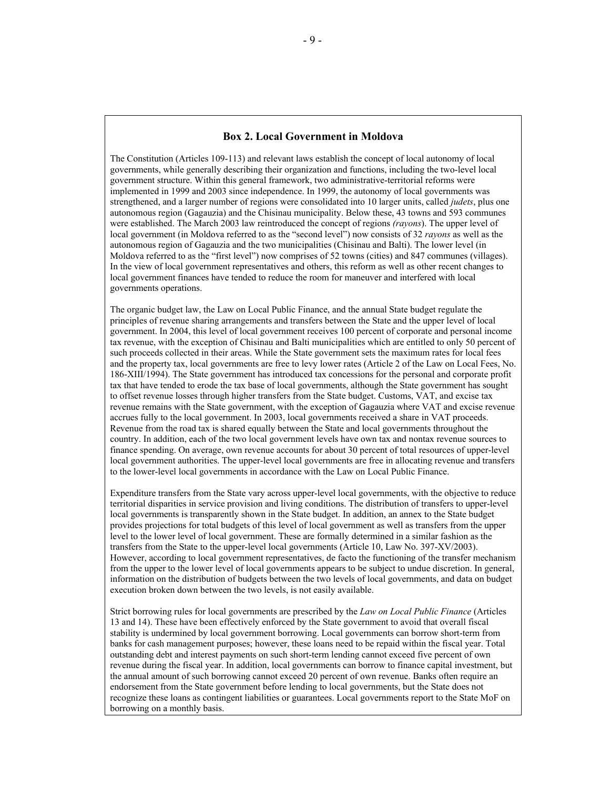#### **Box 2. Local Government in Moldova**

The Constitution (Articles 109-113) and relevant laws establish the concept of local autonomy of local governments, while generally describing their organization and functions, including the two-level local government structure. Within this general framework, two administrative-territorial reforms were implemented in 1999 and 2003 since independence. In 1999, the autonomy of local governments was strengthened, and a larger number of regions were consolidated into 10 larger units, called *judets*, plus one autonomous region (Gagauzia) and the Chisinau municipality. Below these, 43 towns and 593 communes were established. The March 2003 law reintroduced the concept of regions *(rayons*). The upper level of local government (in Moldova referred to as the "second level") now consists of 32 *rayons* as well as the autonomous region of Gagauzia and the two municipalities (Chisinau and Balti). The lower level (in Moldova referred to as the "first level") now comprises of 52 towns (cities) and 847 communes (villages). In the view of local government representatives and others, this reform as well as other recent changes to local government finances have tended to reduce the room for maneuver and interfered with local governments operations.

The organic budget law, the Law on Local Public Finance, and the annual State budget regulate the principles of revenue sharing arrangements and transfers between the State and the upper level of local government. In 2004, this level of local government receives 100 percent of corporate and personal income tax revenue, with the exception of Chisinau and Balti municipalities which are entitled to only 50 percent of such proceeds collected in their areas. While the State government sets the maximum rates for local fees and the property tax, local governments are free to levy lower rates (Article 2 of the Law on Local Fees, No. 186-XIII/1994). The State government has introduced tax concessions for the personal and corporate profit tax that have tended to erode the tax base of local governments, although the State government has sought to offset revenue losses through higher transfers from the State budget. Customs, VAT, and excise tax revenue remains with the State government, with the exception of Gagauzia where VAT and excise revenue accrues fully to the local government. In 2003, local governments received a share in VAT proceeds. Revenue from the road tax is shared equally between the State and local governments throughout the country. In addition, each of the two local government levels have own tax and nontax revenue sources to finance spending. On average, own revenue accounts for about 30 percent of total resources of upper-level local government authorities. The upper-level local governments are free in allocating revenue and transfers to the lower-level local governments in accordance with the Law on Local Public Finance.

Expenditure transfers from the State vary across upper-level local governments, with the objective to reduce territorial disparities in service provision and living conditions. The distribution of transfers to upper-level local governments is transparently shown in the State budget. In addition, an annex to the State budget provides projections for total budgets of this level of local government as well as transfers from the upper level to the lower level of local government. These are formally determined in a similar fashion as the transfers from the State to the upper-level local governments (Article 10, Law No. 397-XV/2003). However, according to local government representatives, de facto the functioning of the transfer mechanism from the upper to the lower level of local governments appears to be subject to undue discretion. In general, information on the distribution of budgets between the two levels of local governments, and data on budget execution broken down between the two levels, is not easily available.

Strict borrowing rules for local governments are prescribed by the *Law on Local Public Finance* (Articles 13 and 14). These have been effectively enforced by the State government to avoid that overall fiscal stability is undermined by local government borrowing. Local governments can borrow short-term from banks for cash management purposes; however, these loans need to be repaid within the fiscal year. Total outstanding debt and interest payments on such short-term lending cannot exceed five percent of own revenue during the fiscal year. In addition, local governments can borrow to finance capital investment, but the annual amount of such borrowing cannot exceed 20 percent of own revenue. Banks often require an endorsement from the State government before lending to local governments, but the State does not recognize these loans as contingent liabilities or guarantees. Local governments report to the State MoF on borrowing on a monthly basis.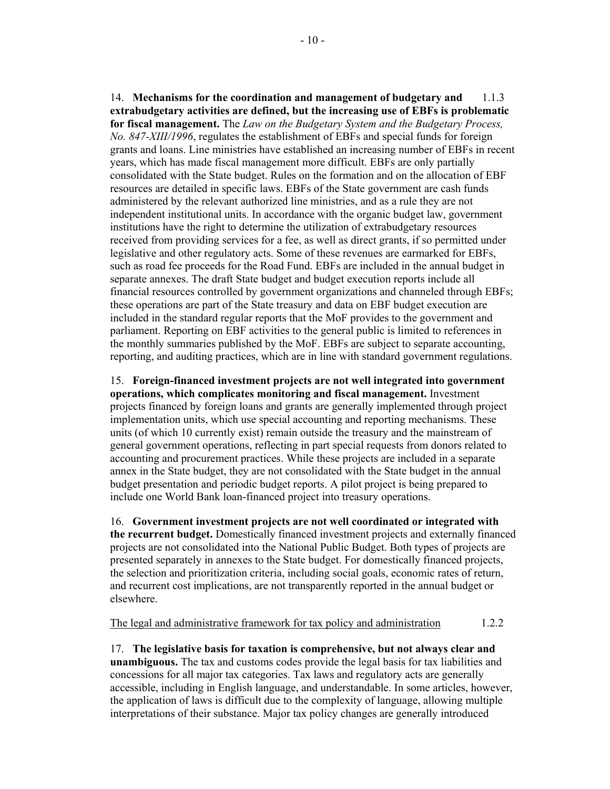14. **Mechanisms for the coordination and management of budgetary and** 1.1.3 **extrabudgetary activities are defined, but the increasing use of EBFs is problematic for fiscal management.** The *Law on the Budgetary System and the Budgetary Process, No. 847-XIII/1996*, regulates the establishment of EBFs and special funds for foreign grants and loans. Line ministries have established an increasing number of EBFs in recent years, which has made fiscal management more difficult. EBFs are only partially consolidated with the State budget. Rules on the formation and on the allocation of EBF resources are detailed in specific laws. EBFs of the State government are cash funds administered by the relevant authorized line ministries, and as a rule they are not independent institutional units. In accordance with the organic budget law, government institutions have the right to determine the utilization of extrabudgetary resources received from providing services for a fee, as well as direct grants, if so permitted under legislative and other regulatory acts. Some of these revenues are earmarked for EBFs, such as road fee proceeds for the Road Fund. EBFs are included in the annual budget in separate annexes. The draft State budget and budget execution reports include all financial resources controlled by government organizations and channeled through EBFs; these operations are part of the State treasury and data on EBF budget execution are included in the standard regular reports that the MoF provides to the government and parliament. Reporting on EBF activities to the general public is limited to references in the monthly summaries published by the MoF. EBFs are subject to separate accounting, reporting, and auditing practices, which are in line with standard government regulations.

15. **Foreign-financed investment projects are not well integrated into government operations, which complicates monitoring and fiscal management.** Investment projects financed by foreign loans and grants are generally implemented through project implementation units, which use special accounting and reporting mechanisms. These units (of which 10 currently exist) remain outside the treasury and the mainstream of general government operations, reflecting in part special requests from donors related to accounting and procurement practices. While these projects are included in a separate annex in the State budget, they are not consolidated with the State budget in the annual budget presentation and periodic budget reports. A pilot project is being prepared to include one World Bank loan-financed project into treasury operations.

16. **Government investment projects are not well coordinated or integrated with the recurrent budget.** Domestically financed investment projects and externally financed projects are not consolidated into the National Public Budget. Both types of projects are presented separately in annexes to the State budget. For domestically financed projects, the selection and prioritization criteria, including social goals, economic rates of return, and recurrent cost implications, are not transparently reported in the annual budget or elsewhere.

The legal and administrative framework for tax policy and administration 1.2.2

17. **The legislative basis for taxation is comprehensive, but not always clear and unambiguous.** The tax and customs codes provide the legal basis for tax liabilities and concessions for all major tax categories. Tax laws and regulatory acts are generally accessible, including in English language, and understandable. In some articles, however, the application of laws is difficult due to the complexity of language, allowing multiple interpretations of their substance. Major tax policy changes are generally introduced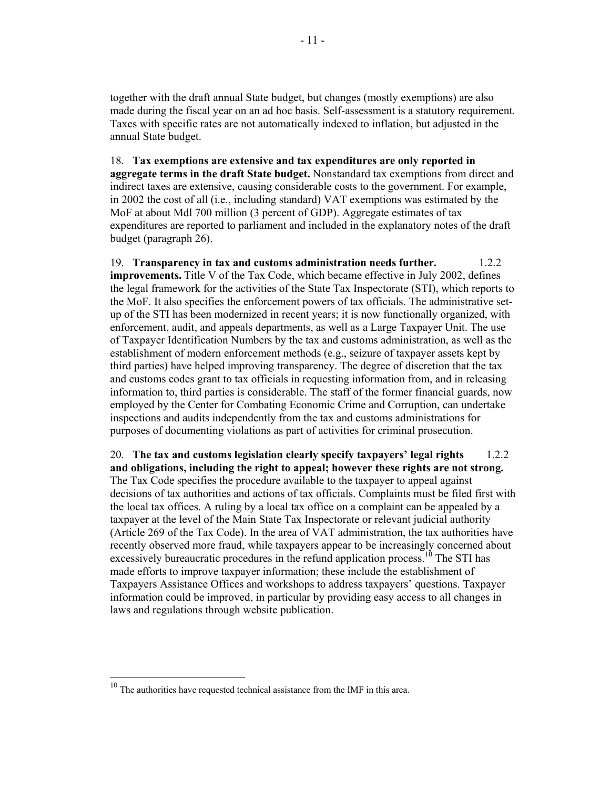together with the draft annual State budget, but changes (mostly exemptions) are also made during the fiscal year on an ad hoc basis. Self-assessment is a statutory requirement. Taxes with specific rates are not automatically indexed to inflation, but adjusted in the annual State budget.

18. **Tax exemptions are extensive and tax expenditures are only reported in aggregate terms in the draft State budget.** Nonstandard tax exemptions from direct and indirect taxes are extensive, causing considerable costs to the government. For example, in 2002 the cost of all (i.e., including standard) VAT exemptions was estimated by the MoF at about Mdl 700 million (3 percent of GDP). Aggregate estimates of tax expenditures are reported to parliament and included in the explanatory notes of the draft budget (paragraph 26).

19. **Transparency in tax and customs administration needs further.** 1.2.2 **improvements.** Title V of the Tax Code, which became effective in July 2002, defines the legal framework for the activities of the State Tax Inspectorate (STI), which reports to the MoF. It also specifies the enforcement powers of tax officials. The administrative setup of the STI has been modernized in recent years; it is now functionally organized, with enforcement, audit, and appeals departments, as well as a Large Taxpayer Unit. The use of Taxpayer Identification Numbers by the tax and customs administration, as well as the establishment of modern enforcement methods (e.g., seizure of taxpayer assets kept by third parties) have helped improving transparency. The degree of discretion that the tax and customs codes grant to tax officials in requesting information from, and in releasing information to, third parties is considerable. The staff of the former financial guards, now employed by the Center for Combating Economic Crime and Corruption, can undertake inspections and audits independently from the tax and customs administrations for purposes of documenting violations as part of activities for criminal prosecution.

20. **The tax and customs legislation clearly specify taxpayers' legal rights** 1.2.2 **and obligations, including the right to appeal; however these rights are not strong.**  The Tax Code specifies the procedure available to the taxpayer to appeal against decisions of tax authorities and actions of tax officials. Complaints must be filed first with the local tax offices. A ruling by a local tax office on a complaint can be appealed by a taxpayer at the level of the Main State Tax Inspectorate or relevant judicial authority (Article 269 of the Tax Code). In the area of VAT administration, the tax authorities have recently observed more fraud, while taxpayers appear to be increasingly concerned about excessively bureaucratic procedures in the refund application process.<sup>10</sup> The STI has made efforts to improve taxpayer information; these include the establishment of Taxpayers Assistance Offices and workshops to address taxpayers' questions. Taxpayer information could be improved, in particular by providing easy access to all changes in laws and regulations through website publication.

 $\overline{a}$ 

 $10$  The authorities have requested technical assistance from the IMF in this area.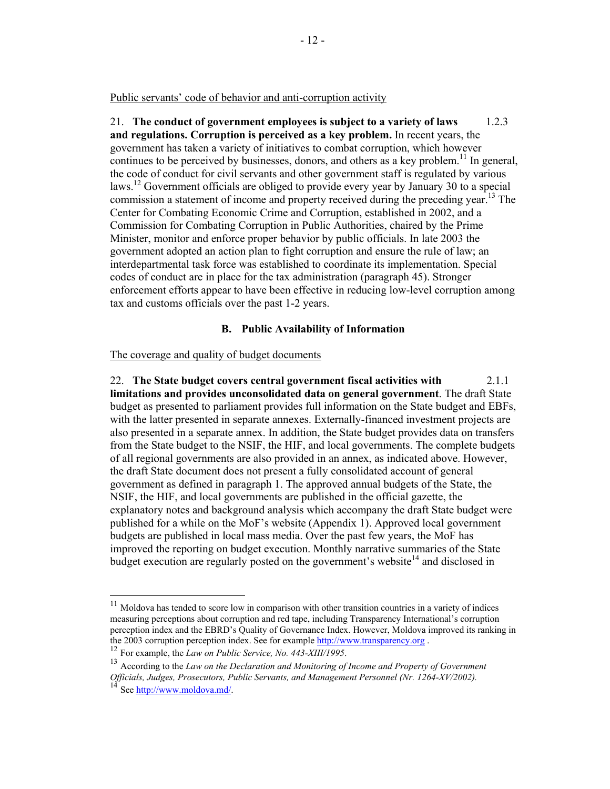Public servants' code of behavior and anti-corruption activity

21. **The conduct of government employees is subject to a variety of laws** 1.2.3 **and regulations. Corruption is perceived as a key problem.** In recent years, the government has taken a variety of initiatives to combat corruption, which however continues to be perceived by businesses, donors, and others as a key problem.<sup>11</sup> In general, the code of conduct for civil servants and other government staff is regulated by various laws.<sup>12</sup> Government officials are obliged to provide every year by January 30 to a special commission a statement of income and property received during the preceding year.<sup>13</sup> The Center for Combating Economic Crime and Corruption, established in 2002, and a Commission for Combating Corruption in Public Authorities, chaired by the Prime Minister, monitor and enforce proper behavior by public officials. In late 2003 the government adopted an action plan to fight corruption and ensure the rule of law; an interdepartmental task force was established to coordinate its implementation. Special codes of conduct are in place for the tax administration (paragraph 45). Stronger enforcement efforts appear to have been effective in reducing low-level corruption among tax and customs officials over the past 1-2 years.

## **B. Public Availability of Information**

#### The coverage and quality of budget documents

22. **The State budget covers central government fiscal activities with** 2.1.1 **limitations and provides unconsolidated data on general government**. The draft State budget as presented to parliament provides full information on the State budget and EBFs, with the latter presented in separate annexes. Externally-financed investment projects are also presented in a separate annex. In addition, the State budget provides data on transfers from the State budget to the NSIF, the HIF, and local governments. The complete budgets of all regional governments are also provided in an annex, as indicated above. However, the draft State document does not present a fully consolidated account of general government as defined in paragraph 1. The approved annual budgets of the State, the NSIF, the HIF, and local governments are published in the official gazette, the explanatory notes and background analysis which accompany the draft State budget were published for a while on the MoF's website (Appendix 1). Approved local government budgets are published in local mass media. Over the past few years, the MoF has improved the reporting on budget execution. Monthly narrative summaries of the State budget execution are regularly posted on the government's website<sup>14</sup> and disclosed in

 $11$ <sup>11</sup> Moldova has tended to score low in comparison with other transition countries in a variety of indices measuring perceptions about corruption and red tape, including Transparency International's corruption perception index and the EBRD's Quality of Governance Index. However, Moldova improved its ranking in the 2003 corruption perception index. See for example<http://www.transparency.org> .<br><sup>12</sup> For example, the *Law on Public Service, No. 443-XIII/1995*.<br><sup>13</sup> According to the *Law on the Declaration and Monitoring of Income a* 

*Officials, Judges, Prosecutors, Public Servants, and Management Personnel (Nr. 1264-XV/2002).*

See [http://www.moldova.md/.](http://www.moldova.md/)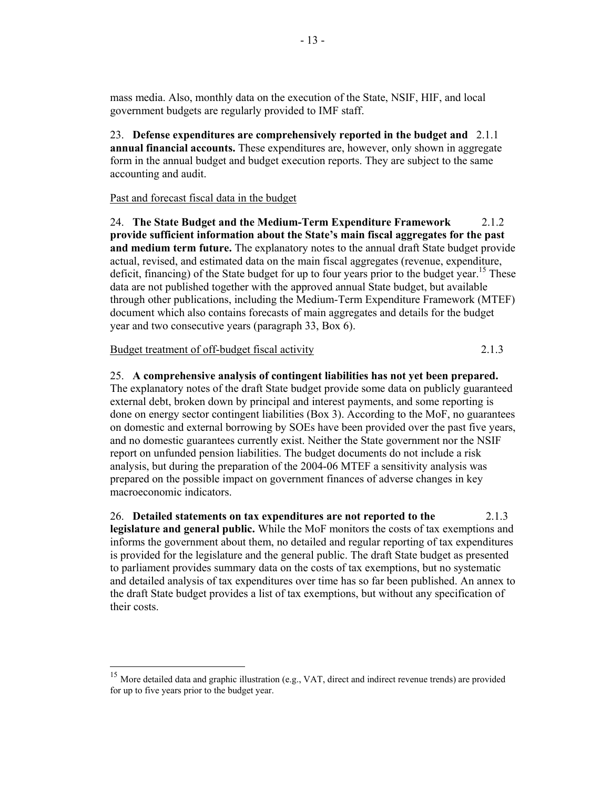mass media. Also, monthly data on the execution of the State, NSIF, HIF, and local government budgets are regularly provided to IMF staff.

23. **Defense expenditures are comprehensively reported in the budget and** 2.1.1 **annual financial accounts.** These expenditures are, however, only shown in aggregate form in the annual budget and budget execution reports. They are subject to the same accounting and audit.

## Past and forecast fiscal data in the budget

 $-13$  -

24. **The State Budget and the Medium-Term Expenditure Framework** 2.1.2 **provide sufficient information about the State's main fiscal aggregates for the past and medium term future.** The explanatory notes to the annual draft State budget provide actual, revised, and estimated data on the main fiscal aggregates (revenue, expenditure, deficit, financing) of the State budget for up to four years prior to the budget year.<sup>15</sup> These data are not published together with the approved annual State budget, but available through other publications, including the Medium-Term Expenditure Framework (MTEF) document which also contains forecasts of main aggregates and details for the budget year and two consecutive years (paragraph 33, Box 6).

#### Budget treatment of off-budget fiscal activity 2.1.3

 $\overline{a}$ 

25. **A comprehensive analysis of contingent liabilities has not yet been prepared.** The explanatory notes of the draft State budget provide some data on publicly guaranteed external debt, broken down by principal and interest payments, and some reporting is done on energy sector contingent liabilities (Box 3). According to the MoF, no guarantees on domestic and external borrowing by SOEs have been provided over the past five years, and no domestic guarantees currently exist. Neither the State government nor the NSIF report on unfunded pension liabilities. The budget documents do not include a risk analysis, but during the preparation of the 2004-06 MTEF a sensitivity analysis was prepared on the possible impact on government finances of adverse changes in key macroeconomic indicators.

26. **Detailed statements on tax expenditures are not reported to the** 2.1.3 **legislature and general public.** While the MoF monitors the costs of tax exemptions and informs the government about them, no detailed and regular reporting of tax expenditures is provided for the legislature and the general public. The draft State budget as presented to parliament provides summary data on the costs of tax exemptions, but no systematic and detailed analysis of tax expenditures over time has so far been published. An annex to the draft State budget provides a list of tax exemptions, but without any specification of their costs.

<sup>&</sup>lt;sup>15</sup> More detailed data and graphic illustration (e.g., VAT, direct and indirect revenue trends) are provided for up to five years prior to the budget year.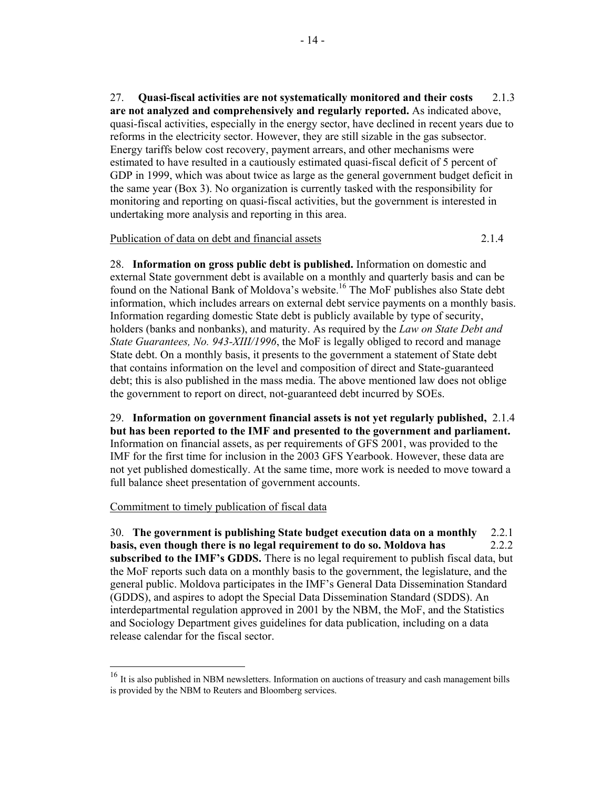27. **Quasi-fiscal activities are not systematically monitored and their costs** 2.1.3 **are not analyzed and comprehensively and regularly reported.** As indicated above, quasi-fiscal activities, especially in the energy sector, have declined in recent years due to reforms in the electricity sector. However, they are still sizable in the gas subsector. Energy tariffs below cost recovery, payment arrears, and other mechanisms were estimated to have resulted in a cautiously estimated quasi-fiscal deficit of 5 percent of GDP in 1999, which was about twice as large as the general government budget deficit in the same year (Box 3). No organization is currently tasked with the responsibility for monitoring and reporting on quasi-fiscal activities, but the government is interested in undertaking more analysis and reporting in this area.

## Publication of data on debt and financial assets 2.1.4

28. **Information on gross public debt is published.** Information on domestic and external State government debt is available on a monthly and quarterly basis and can be found on the National Bank of Moldova's website.16 The MoF publishes also State debt information, which includes arrears on external debt service payments on a monthly basis. Information regarding domestic State debt is publicly available by type of security, holders (banks and nonbanks), and maturity. As required by the *Law on State Debt and State Guarantees, No. 943-XIII/1996*, the MoF is legally obliged to record and manage State debt. On a monthly basis, it presents to the government a statement of State debt that contains information on the level and composition of direct and State-guaranteed debt; this is also published in the mass media. The above mentioned law does not oblige the government to report on direct, not-guaranteed debt incurred by SOEs.

29. **Information on government financial assets is not yet regularly published,** 2.1.4 **but has been reported to the IMF and presented to the government and parliament.**  Information on financial assets, as per requirements of GFS 2001, was provided to the IMF for the first time for inclusion in the 2003 GFS Yearbook. However, these data are not yet published domestically. At the same time, more work is needed to move toward a full balance sheet presentation of government accounts.

## Commitment to timely publication of fiscal data

 $\overline{a}$ 

30. **The government is publishing State budget execution data on a monthly** 2.2.1 **basis, even though there is no legal requirement to do so. Moldova has** 2.2.2 **subscribed to the IMF's GDDS.** There is no legal requirement to publish fiscal data, but the MoF reports such data on a monthly basis to the government, the legislature, and the general public. Moldova participates in the IMF's General Data Dissemination Standard (GDDS), and aspires to adopt the Special Data Dissemination Standard (SDDS). An interdepartmental regulation approved in 2001 by the NBM, the MoF, and the Statistics and Sociology Department gives guidelines for data publication, including on a data release calendar for the fiscal sector.

<sup>&</sup>lt;sup>16</sup> It is also published in NBM newsletters. Information on auctions of treasury and cash management bills is provided by the NBM to Reuters and Bloomberg services.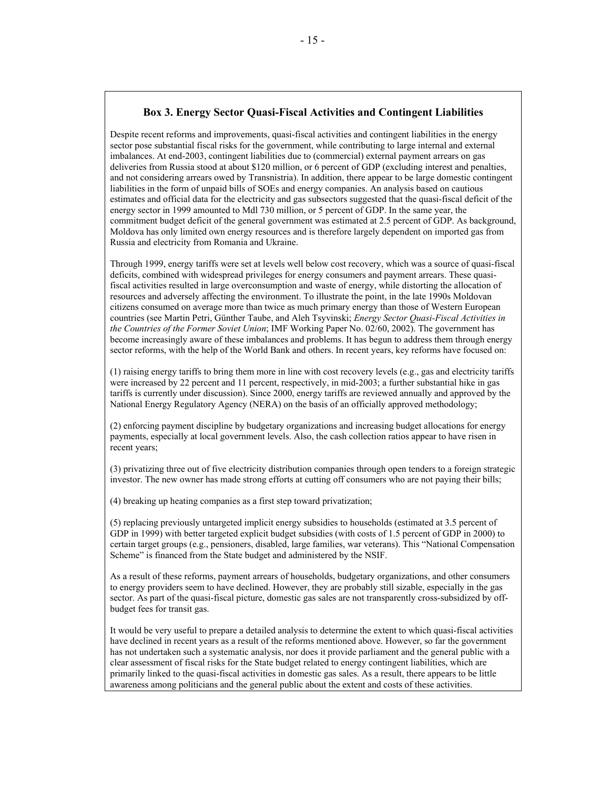## **Box 3. Energy Sector Quasi-Fiscal Activities and Contingent Liabilities**

Despite recent reforms and improvements, quasi-fiscal activities and contingent liabilities in the energy sector pose substantial fiscal risks for the government, while contributing to large internal and external imbalances. At end-2003, contingent liabilities due to (commercial) external payment arrears on gas deliveries from Russia stood at about \$120 million, or 6 percent of GDP (excluding interest and penalties, and not considering arrears owed by Transnistria). In addition, there appear to be large domestic contingent liabilities in the form of unpaid bills of SOEs and energy companies. An analysis based on cautious estimates and official data for the electricity and gas subsectors suggested that the quasi-fiscal deficit of the energy sector in 1999 amounted to Mdl 730 million, or 5 percent of GDP. In the same year, the commitment budget deficit of the general government was estimated at 2.5 percent of GDP. As background, Moldova has only limited own energy resources and is therefore largely dependent on imported gas from Russia and electricity from Romania and Ukraine.

Through 1999, energy tariffs were set at levels well below cost recovery, which was a source of quasi-fiscal deficits, combined with widespread privileges for energy consumers and payment arrears. These quasifiscal activities resulted in large overconsumption and waste of energy, while distorting the allocation of resources and adversely affecting the environment. To illustrate the point, in the late 1990s Moldovan citizens consumed on average more than twice as much primary energy than those of Western European countries (see Martin Petri, Günther Taube, and Aleh Tsyvinski; *Energy Sector Quasi-Fiscal Activities in the Countries of the Former Soviet Union*; IMF Working Paper No. 02/60, 2002). The government has become increasingly aware of these imbalances and problems. It has begun to address them through energy sector reforms, with the help of the World Bank and others. In recent years, key reforms have focused on:

(1) raising energy tariffs to bring them more in line with cost recovery levels (e.g., gas and electricity tariffs were increased by 22 percent and 11 percent, respectively, in mid-2003; a further substantial hike in gas tariffs is currently under discussion). Since 2000, energy tariffs are reviewed annually and approved by the National Energy Regulatory Agency (NERA) on the basis of an officially approved methodology;

(2) enforcing payment discipline by budgetary organizations and increasing budget allocations for energy payments, especially at local government levels. Also, the cash collection ratios appear to have risen in recent years;

(3) privatizing three out of five electricity distribution companies through open tenders to a foreign strategic investor. The new owner has made strong efforts at cutting off consumers who are not paying their bills;

(4) breaking up heating companies as a first step toward privatization;

(5) replacing previously untargeted implicit energy subsidies to households (estimated at 3.5 percent of GDP in 1999) with better targeted explicit budget subsidies (with costs of 1.5 percent of GDP in 2000) to certain target groups (e.g., pensioners, disabled, large families, war veterans). This "National Compensation Scheme" is financed from the State budget and administered by the NSIF.

As a result of these reforms, payment arrears of households, budgetary organizations, and other consumers to energy providers seem to have declined. However, they are probably still sizable, especially in the gas sector. As part of the quasi-fiscal picture, domestic gas sales are not transparently cross-subsidized by offbudget fees for transit gas.

It would be very useful to prepare a detailed analysis to determine the extent to which quasi-fiscal activities have declined in recent years as a result of the reforms mentioned above. However, so far the government has not undertaken such a systematic analysis, nor does it provide parliament and the general public with a clear assessment of fiscal risks for the State budget related to energy contingent liabilities, which are primarily linked to the quasi-fiscal activities in domestic gas sales. As a result, there appears to be little awareness among politicians and the general public about the extent and costs of these activities.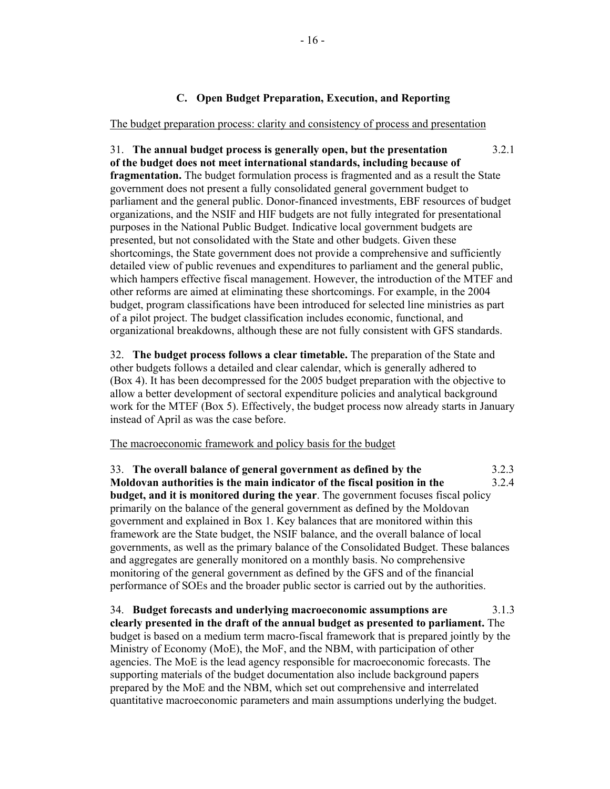## **C. Open Budget Preparation, Execution, and Reporting**

#### The budget preparation process: clarity and consistency of process and presentation

31. **The annual budget process is generally open, but the presentation** 3.2.1 **of the budget does not meet international standards, including because of fragmentation.** The budget formulation process is fragmented and as a result the State government does not present a fully consolidated general government budget to parliament and the general public. Donor-financed investments, EBF resources of budget organizations, and the NSIF and HIF budgets are not fully integrated for presentational purposes in the National Public Budget. Indicative local government budgets are presented, but not consolidated with the State and other budgets. Given these shortcomings, the State government does not provide a comprehensive and sufficiently detailed view of public revenues and expenditures to parliament and the general public, which hampers effective fiscal management. However, the introduction of the MTEF and other reforms are aimed at eliminating these shortcomings. For example, in the 2004 budget, program classifications have been introduced for selected line ministries as part of a pilot project. The budget classification includes economic, functional, and organizational breakdowns, although these are not fully consistent with GFS standards.

32. **The budget process follows a clear timetable.** The preparation of the State and other budgets follows a detailed and clear calendar, which is generally adhered to (Box 4). It has been decompressed for the 2005 budget preparation with the objective to allow a better development of sectoral expenditure policies and analytical background work for the MTEF (Box 5). Effectively, the budget process now already starts in January instead of April as was the case before.

## The macroeconomic framework and policy basis for the budget

33. **The overall balance of general government as defined by the** 3.2.3 **Moldovan authorities is the main indicator of the fiscal position in the** 3.2.4 **budget, and it is monitored during the year**. The government focuses fiscal policy primarily on the balance of the general government as defined by the Moldovan government and explained in Box 1. Key balances that are monitored within this framework are the State budget, the NSIF balance, and the overall balance of local governments, as well as the primary balance of the Consolidated Budget. These balances and aggregates are generally monitored on a monthly basis. No comprehensive monitoring of the general government as defined by the GFS and of the financial performance of SOEs and the broader public sector is carried out by the authorities.

34. **Budget forecasts and underlying macroeconomic assumptions are** 3.1.3 **clearly presented in the draft of the annual budget as presented to parliament.** The budget is based on a medium term macro-fiscal framework that is prepared jointly by the Ministry of Economy (MoE), the MoF, and the NBM, with participation of other agencies. The MoE is the lead agency responsible for macroeconomic forecasts. The supporting materials of the budget documentation also include background papers prepared by the MoE and the NBM, which set out comprehensive and interrelated quantitative macroeconomic parameters and main assumptions underlying the budget.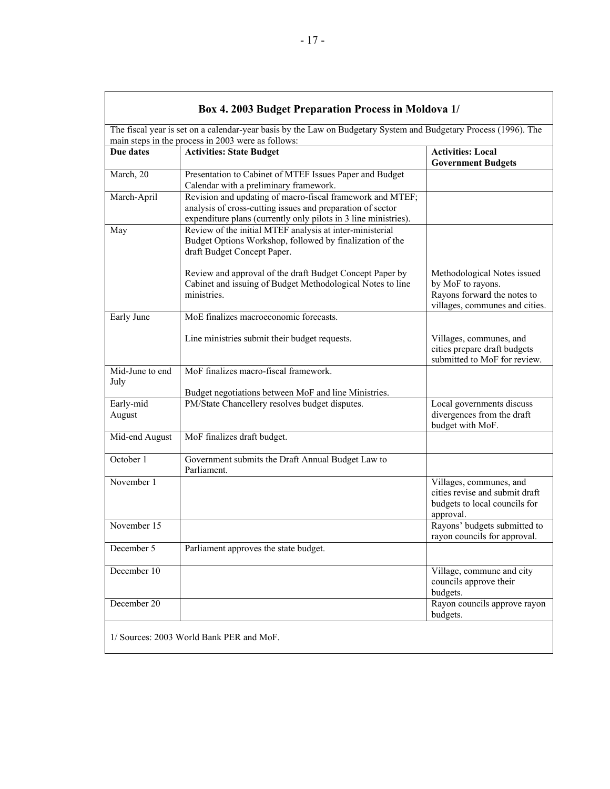| Box 4. 2003 Budget Preparation Process in Moldova 1/                                                                                                                   |                                                                                                                                                                                            |                                                                                                                   |  |  |  |
|------------------------------------------------------------------------------------------------------------------------------------------------------------------------|--------------------------------------------------------------------------------------------------------------------------------------------------------------------------------------------|-------------------------------------------------------------------------------------------------------------------|--|--|--|
| The fiscal year is set on a calendar-year basis by the Law on Budgetary System and Budgetary Process (1996). The<br>main steps in the process in 2003 were as follows: |                                                                                                                                                                                            |                                                                                                                   |  |  |  |
| Due dates                                                                                                                                                              | <b>Activities: State Budget</b>                                                                                                                                                            | <b>Activities: Local</b><br><b>Government Budgets</b>                                                             |  |  |  |
| March, 20                                                                                                                                                              | Presentation to Cabinet of MTEF Issues Paper and Budget<br>Calendar with a preliminary framework.                                                                                          |                                                                                                                   |  |  |  |
| March-April                                                                                                                                                            | Revision and updating of macro-fiscal framework and MTEF;<br>analysis of cross-cutting issues and preparation of sector<br>expenditure plans (currently only pilots in 3 line ministries). |                                                                                                                   |  |  |  |
| May                                                                                                                                                                    | Review of the initial MTEF analysis at inter-ministerial<br>Budget Options Workshop, followed by finalization of the<br>draft Budget Concept Paper.                                        |                                                                                                                   |  |  |  |
|                                                                                                                                                                        | Review and approval of the draft Budget Concept Paper by<br>Cabinet and issuing of Budget Methodological Notes to line<br>ministries.                                                      | Methodological Notes issued<br>by MoF to rayons.<br>Rayons forward the notes to<br>villages, communes and cities. |  |  |  |
| Early June                                                                                                                                                             | MoE finalizes macroeconomic forecasts.                                                                                                                                                     |                                                                                                                   |  |  |  |
|                                                                                                                                                                        | Line ministries submit their budget requests.                                                                                                                                              | Villages, communes, and<br>cities prepare draft budgets<br>submitted to MoF for review.                           |  |  |  |
| Mid-June to end<br>July                                                                                                                                                | MoF finalizes macro-fiscal framework.<br>Budget negotiations between MoF and line Ministries.                                                                                              |                                                                                                                   |  |  |  |
| Early-mid<br>August                                                                                                                                                    | PM/State Chancellery resolves budget disputes.                                                                                                                                             | Local governments discuss<br>divergences from the draft<br>budget with MoF.                                       |  |  |  |
| Mid-end August                                                                                                                                                         | MoF finalizes draft budget.                                                                                                                                                                |                                                                                                                   |  |  |  |
| October 1                                                                                                                                                              | Government submits the Draft Annual Budget Law to<br>Parliament.                                                                                                                           |                                                                                                                   |  |  |  |
| November 1                                                                                                                                                             |                                                                                                                                                                                            | Villages, communes, and<br>cities revise and submit draft<br>budgets to local councils for<br>approval.           |  |  |  |
| November 15                                                                                                                                                            |                                                                                                                                                                                            | Rayons' budgets submitted to<br>rayon councils for approval.                                                      |  |  |  |
| December 5                                                                                                                                                             | Parliament approves the state budget.                                                                                                                                                      |                                                                                                                   |  |  |  |
| December 10                                                                                                                                                            |                                                                                                                                                                                            | Village, commune and city<br>councils approve their<br>budgets.                                                   |  |  |  |
| December 20                                                                                                                                                            |                                                                                                                                                                                            | Rayon councils approve rayon<br>budgets.                                                                          |  |  |  |
|                                                                                                                                                                        | 1/ Sources: 2003 World Bank PER and MoF.                                                                                                                                                   |                                                                                                                   |  |  |  |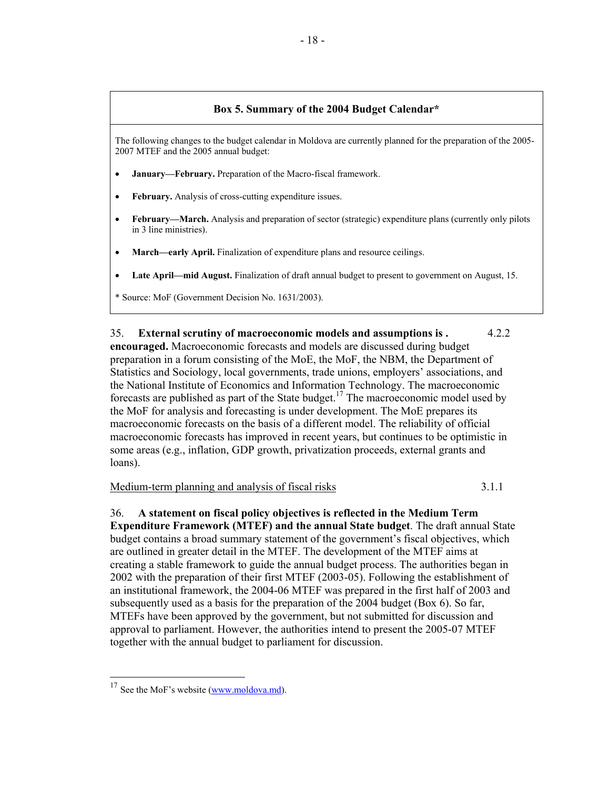## **Box 5. Summary of the 2004 Budget Calendar\***

The following changes to the budget calendar in Moldova are currently planned for the preparation of the 2005- 2007 MTEF and the 2005 annual budget:

- **January—February.** Preparation of the Macro-fiscal framework.
- February. Analysis of cross-cutting expenditure issues.
- **February—March.** Analysis and preparation of sector (strategic) expenditure plans (currently only pilots in 3 line ministries).
- **March—early April.** Finalization of expenditure plans and resource ceilings.
- **Late April—mid August.** Finalization of draft annual budget to present to government on August, 15.

\* Source: MoF (Government Decision No. 1631/2003).

35. **External scrutiny of macroeconomic models and assumptions is .** 4.2.2 **encouraged.** Macroeconomic forecasts and models are discussed during budget preparation in a forum consisting of the MoE, the MoF, the NBM, the Department of Statistics and Sociology, local governments, trade unions, employers' associations, and the National Institute of Economics and Information Technology. The macroeconomic forecasts are published as part of the State budget.<sup>17</sup> The macroeconomic model used by the MoF for analysis and forecasting is under development. The MoE prepares its macroeconomic forecasts on the basis of a different model. The reliability of official macroeconomic forecasts has improved in recent years, but continues to be optimistic in some areas (e.g., inflation, GDP growth, privatization proceeds, external grants and loans).

Medium-term planning and analysis of fiscal risks 3.1.1

36. **A statement on fiscal policy objectives is reflected in the Medium Term Expenditure Framework (MTEF) and the annual State budget**. The draft annual State budget contains a broad summary statement of the government's fiscal objectives, which are outlined in greater detail in the MTEF. The development of the MTEF aims at creating a stable framework to guide the annual budget process. The authorities began in 2002 with the preparation of their first MTEF (2003-05). Following the establishment of an institutional framework, the 2004-06 MTEF was prepared in the first half of 2003 and subsequently used as a basis for the preparation of the 2004 budget (Box 6). So far, MTEFs have been approved by the government, but not submitted for discussion and approval to parliament. However, the authorities intend to present the 2005-07 MTEF together with the annual budget to parliament for discussion.

 $\overline{a}$ 

 $17$  See the MoF's website (www.moldova.md).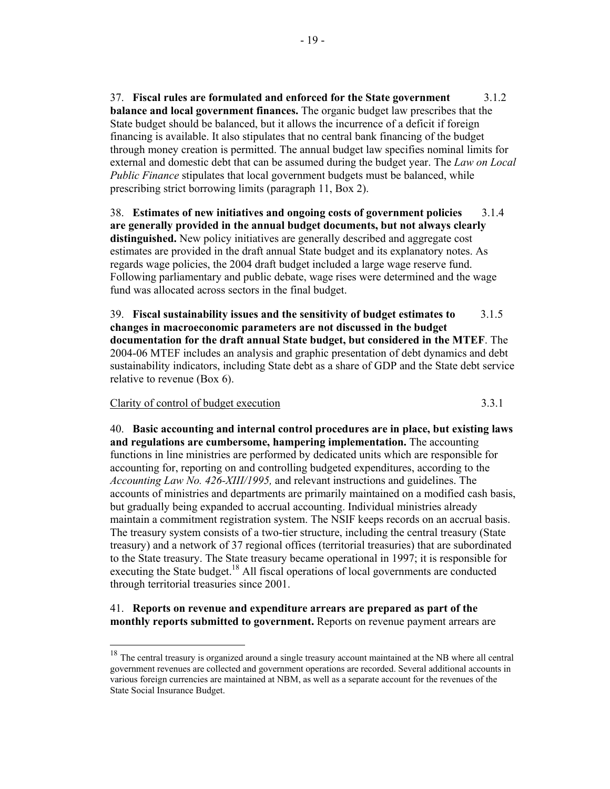37. **Fiscal rules are formulated and enforced for the State government** 3.1.2 **balance and local government finances.** The organic budget law prescribes that the State budget should be balanced, but it allows the incurrence of a deficit if foreign financing is available. It also stipulates that no central bank financing of the budget through money creation is permitted. The annual budget law specifies nominal limits for external and domestic debt that can be assumed during the budget year. The *Law on Local Public Finance* stipulates that local government budgets must be balanced, while prescribing strict borrowing limits (paragraph 11, Box 2).

38. **Estimates of new initiatives and ongoing costs of government policies** 3.1.4 **are generally provided in the annual budget documents, but not always clearly distinguished.** New policy initiatives are generally described and aggregate cost estimates are provided in the draft annual State budget and its explanatory notes. As regards wage policies, the 2004 draft budget included a large wage reserve fund. Following parliamentary and public debate, wage rises were determined and the wage fund was allocated across sectors in the final budget.

39. **Fiscal sustainability issues and the sensitivity of budget estimates to** 3.1.5 **changes in macroeconomic parameters are not discussed in the budget documentation for the draft annual State budget, but considered in the MTEF**. The 2004-06 MTEF includes an analysis and graphic presentation of debt dynamics and debt sustainability indicators, including State debt as a share of GDP and the State debt service relative to revenue (Box 6).

#### Clarity of control of budget execution 3.3.1

40. **Basic accounting and internal control procedures are in place, but existing laws and regulations are cumbersome, hampering implementation.** The accounting functions in line ministries are performed by dedicated units which are responsible for accounting for, reporting on and controlling budgeted expenditures, according to the *Accounting Law No. 426-XIII/1995,* and relevant instructions and guidelines. The accounts of ministries and departments are primarily maintained on a modified cash basis, but gradually being expanded to accrual accounting. Individual ministries already maintain a commitment registration system. The NSIF keeps records on an accrual basis. The treasury system consists of a two-tier structure, including the central treasury (State treasury) and a network of 37 regional offices (territorial treasuries) that are subordinated to the State treasury. The State treasury became operational in 1997; it is responsible for executing the State budget.<sup>18</sup> All fiscal operations of local governments are conducted through territorial treasuries since 2001.

## 41. **Reports on revenue and expenditure arrears are prepared as part of the monthly reports submitted to government.** Reports on revenue payment arrears are

 $18\,$ <sup>18</sup> The central treasury is organized around a single treasury account maintained at the NB where all central government revenues are collected and government operations are recorded. Several additional accounts in various foreign currencies are maintained at NBM, as well as a separate account for the revenues of the State Social Insurance Budget.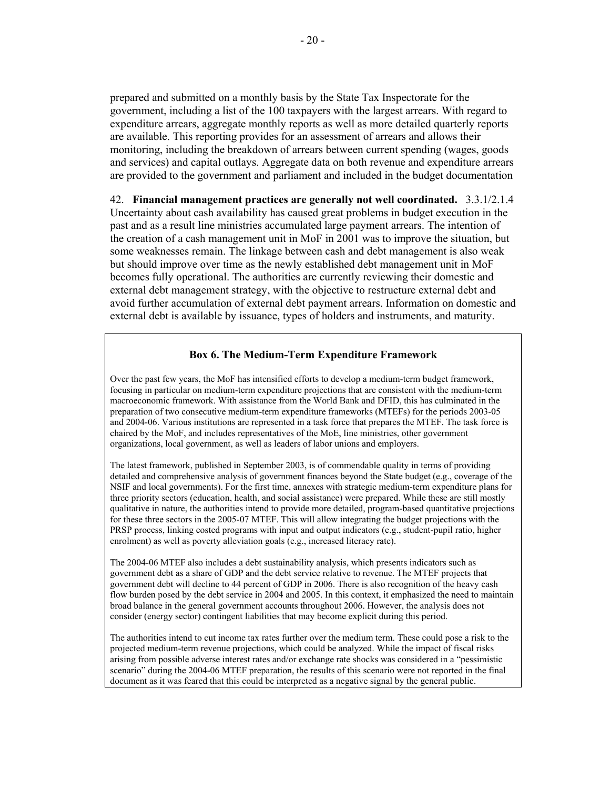prepared and submitted on a monthly basis by the State Tax Inspectorate for the government, including a list of the 100 taxpayers with the largest arrears. With regard to expenditure arrears, aggregate monthly reports as well as more detailed quarterly reports are available. This reporting provides for an assessment of arrears and allows their monitoring, including the breakdown of arrears between current spending (wages, goods and services) and capital outlays. Aggregate data on both revenue and expenditure arrears are provided to the government and parliament and included in the budget documentation

42. **Financial management practices are generally not well coordinated.** 3.3.1/2.1.4 Uncertainty about cash availability has caused great problems in budget execution in the past and as a result line ministries accumulated large payment arrears. The intention of the creation of a cash management unit in MoF in 2001 was to improve the situation, but some weaknesses remain. The linkage between cash and debt management is also weak but should improve over time as the newly established debt management unit in MoF becomes fully operational. The authorities are currently reviewing their domestic and external debt management strategy, with the objective to restructure external debt and avoid further accumulation of external debt payment arrears. Information on domestic and external debt is available by issuance, types of holders and instruments, and maturity.

## **Box 6. The Medium-Term Expenditure Framework**

Over the past few years, the MoF has intensified efforts to develop a medium-term budget framework, focusing in particular on medium-term expenditure projections that are consistent with the medium-term macroeconomic framework. With assistance from the World Bank and DFID, this has culminated in the preparation of two consecutive medium-term expenditure frameworks (MTEFs) for the periods 2003-05 and 2004-06. Various institutions are represented in a task force that prepares the MTEF. The task force is chaired by the MoF, and includes representatives of the MoE, line ministries, other government organizations, local government, as well as leaders of labor unions and employers.

The latest framework, published in September 2003, is of commendable quality in terms of providing detailed and comprehensive analysis of government finances beyond the State budget (e.g., coverage of the NSIF and local governments). For the first time, annexes with strategic medium-term expenditure plans for three priority sectors (education, health, and social assistance) were prepared. While these are still mostly qualitative in nature, the authorities intend to provide more detailed, program-based quantitative projections for these three sectors in the 2005-07 MTEF. This will allow integrating the budget projections with the PRSP process, linking costed programs with input and output indicators (e.g., student-pupil ratio, higher enrolment) as well as poverty alleviation goals (e.g., increased literacy rate).

The 2004-06 MTEF also includes a debt sustainability analysis, which presents indicators such as government debt as a share of GDP and the debt service relative to revenue. The MTEF projects that government debt will decline to 44 percent of GDP in 2006. There is also recognition of the heavy cash flow burden posed by the debt service in 2004 and 2005. In this context, it emphasized the need to maintain broad balance in the general government accounts throughout 2006. However, the analysis does not consider (energy sector) contingent liabilities that may become explicit during this period.

The authorities intend to cut income tax rates further over the medium term. These could pose a risk to the projected medium-term revenue projections, which could be analyzed. While the impact of fiscal risks arising from possible adverse interest rates and/or exchange rate shocks was considered in a "pessimistic scenario" during the 2004-06 MTEF preparation, the results of this scenario were not reported in the final document as it was feared that this could be interpreted as a negative signal by the general public.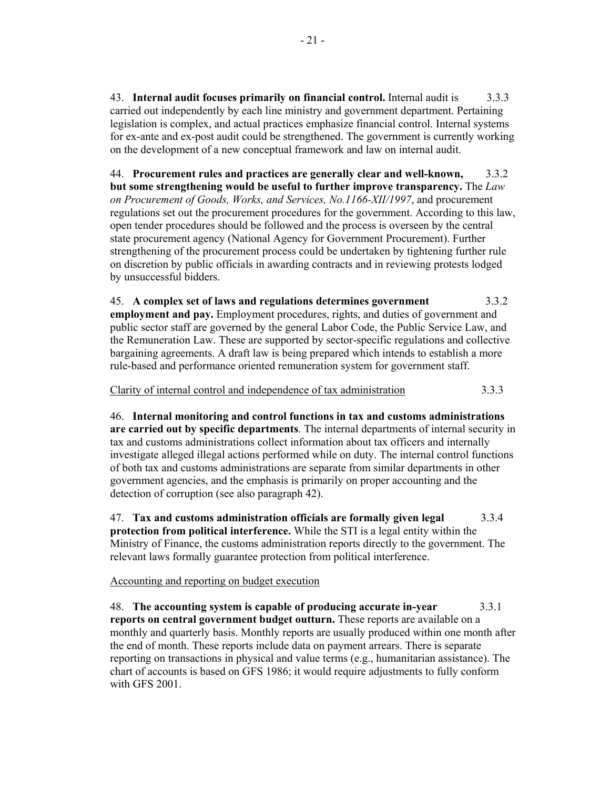43. **Internal audit focuses primarily on financial control.** Internal audit is 3.3.3 carried out independently by each line ministry and government department. Pertaining legislation is complex, and actual practices emphasize financial control. Internal systems for ex-ante and ex-post audit could be strengthened. The government is currently working on the development of a new conceptual framework and law on internal audit.

44. **Procurement rules and practices are generally clear and well-known,** 3.3.2 **but some strengthening would be useful to further improve transparency.** The *Law on Procurement of Goods, Works, and Services, No.1166-XII/1997*, and procurement regulations set out the procurement procedures for the government. According to this law, open tender procedures should be followed and the process is overseen by the central state procurement agency (National Agency for Government Procurement). Further strengthening of the procurement process could be undertaken by tightening further rule on discretion by public officials in awarding contracts and in reviewing protests lodged by unsuccessful bidders.

45. **A complex set of laws and regulations determines government** 3.3.2 **employment and pay.** Employment procedures, rights, and duties of government and public sector staff are governed by the general Labor Code, the Public Service Law, and the Remuneration Law. These are supported by sector-specific regulations and collective bargaining agreements. A draft law is being prepared which intends to establish a more rule-based and performance oriented remuneration system for government staff.

Clarity of internal control and independence of tax administration 3.3.3

46. **Internal monitoring and control functions in tax and customs administrations are carried out by specific departments**. The internal departments of internal security in tax and customs administrations collect information about tax officers and internally investigate alleged illegal actions performed while on duty. The internal control functions of both tax and customs administrations are separate from similar departments in other government agencies, and the emphasis is primarily on proper accounting and the detection of corruption (see also paragraph 42).

47. **Tax and customs administration officials are formally given legal** 3.3.4 **protection from political interference.** While the STI is a legal entity within the Ministry of Finance, the customs administration reports directly to the government. The relevant laws formally guarantee protection from political interference.

Accounting and reporting on budget execution

48. **The accounting system is capable of producing accurate in-year** 3.3.1 **reports on central government budget outturn.** These reports are available on a monthly and quarterly basis. Monthly reports are usually produced within one month after the end of month. These reports include data on payment arrears. There is separate reporting on transactions in physical and value terms (e.g., humanitarian assistance). The chart of accounts is based on GFS 1986; it would require adjustments to fully conform with GFS 2001.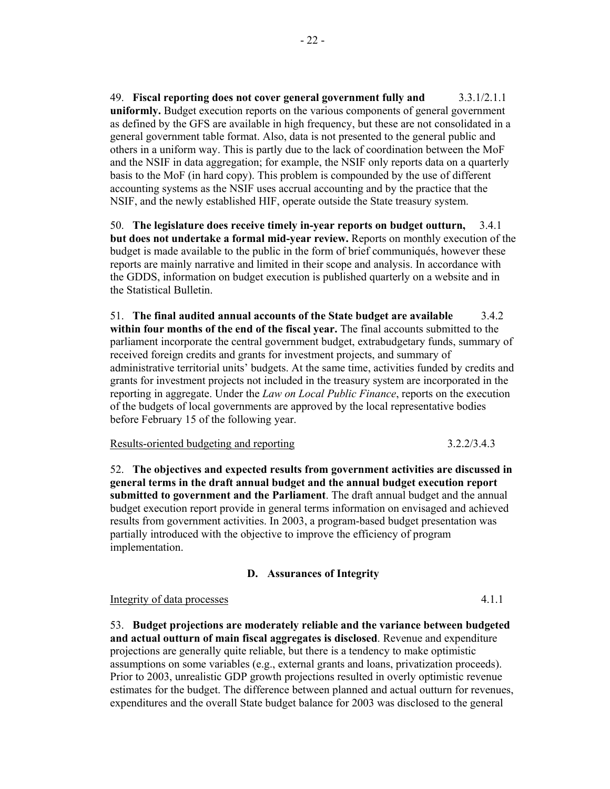49. **Fiscal reporting does not cover general government fully and** 3.3.1/2.1.1 **uniformly.** Budget execution reports on the various components of general government as defined by the GFS are available in high frequency, but these are not consolidated in a general government table format. Also, data is not presented to the general public and others in a uniform way. This is partly due to the lack of coordination between the MoF and the NSIF in data aggregation; for example, the NSIF only reports data on a quarterly basis to the MoF (in hard copy). This problem is compounded by the use of different accounting systems as the NSIF uses accrual accounting and by the practice that the NSIF, and the newly established HIF, operate outside the State treasury system.

50. **The legislature does receive timely in-year reports on budget outturn,** 3.4.1 **but does not undertake a formal mid-year review.** Reports on monthly execution of the budget is made available to the public in the form of brief communiqués, however these reports are mainly narrative and limited in their scope and analysis. In accordance with the GDDS, information on budget execution is published quarterly on a website and in the Statistical Bulletin.

51. **The final audited annual accounts of the State budget are available** 3.4.2 **within four months of the end of the fiscal year.** The final accounts submitted to the parliament incorporate the central government budget, extrabudgetary funds, summary of received foreign credits and grants for investment projects, and summary of administrative territorial units' budgets. At the same time, activities funded by credits and grants for investment projects not included in the treasury system are incorporated in the reporting in aggregate. Under the *Law on Local Public Finance*, reports on the execution of the budgets of local governments are approved by the local representative bodies before February 15 of the following year.

## Results-oriented budgeting and reporting 3.2.2/3.4.3

52. **The objectives and expected results from government activities are discussed in general terms in the draft annual budget and the annual budget execution report submitted to government and the Parliament**. The draft annual budget and the annual budget execution report provide in general terms information on envisaged and achieved results from government activities. In 2003, a program-based budget presentation was partially introduced with the objective to improve the efficiency of program implementation.

#### **D. Assurances of Integrity**

#### Integrity of data processes 4.1.1

53. **Budget projections are moderately reliable and the variance between budgeted and actual outturn of main fiscal aggregates is disclosed**. Revenue and expenditure projections are generally quite reliable, but there is a tendency to make optimistic assumptions on some variables (e.g., external grants and loans, privatization proceeds). Prior to 2003, unrealistic GDP growth projections resulted in overly optimistic revenue estimates for the budget. The difference between planned and actual outturn for revenues, expenditures and the overall State budget balance for 2003 was disclosed to the general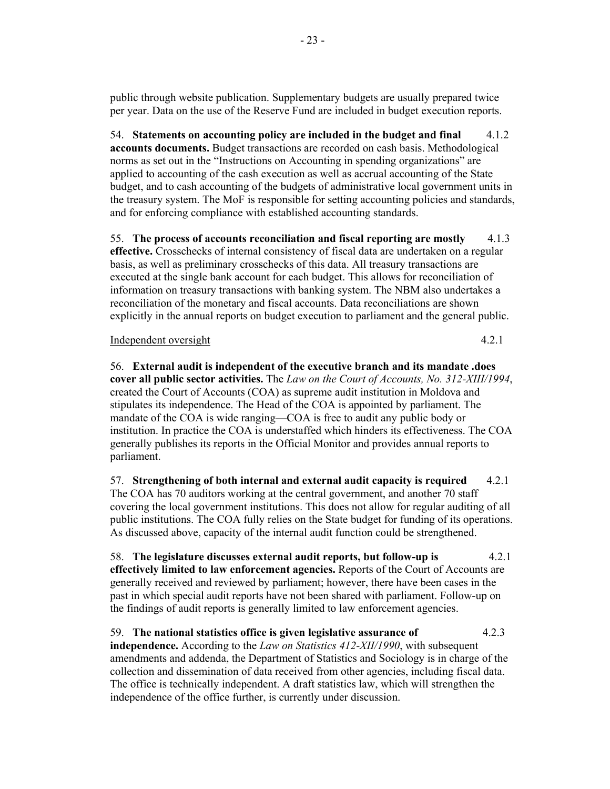public through website publication. Supplementary budgets are usually prepared twice per year. Data on the use of the Reserve Fund are included in budget execution reports.

54. **Statements on accounting policy are included in the budget and final** 4.1.2 **accounts documents.** Budget transactions are recorded on cash basis. Methodological norms as set out in the "Instructions on Accounting in spending organizations" are applied to accounting of the cash execution as well as accrual accounting of the State budget, and to cash accounting of the budgets of administrative local government units in the treasury system. The MoF is responsible for setting accounting policies and standards, and for enforcing compliance with established accounting standards.

55. **The process of accounts reconciliation and fiscal reporting are mostly** 4.1.3 **effective.** Crosschecks of internal consistency of fiscal data are undertaken on a regular basis, as well as preliminary crosschecks of this data. All treasury transactions are executed at the single bank account for each budget. This allows for reconciliation of information on treasury transactions with banking system. The NBM also undertakes a reconciliation of the monetary and fiscal accounts. Data reconciliations are shown explicitly in the annual reports on budget execution to parliament and the general public.

## Independent oversight 4.2.1

56. **External audit is independent of the executive branch and its mandate .does cover all public sector activities.** The *Law on the Court of Accounts, No. 312-XIII/1994*, created the Court of Accounts (COA) as supreme audit institution in Moldova and stipulates its independence. The Head of the COA is appointed by parliament. The mandate of the COA is wide ranging—COA is free to audit any public body or institution. In practice the COA is understaffed which hinders its effectiveness. The COA generally publishes its reports in the Official Monitor and provides annual reports to parliament.

57. **Strengthening of both internal and external audit capacity is required** 4.2.1 The COA has 70 auditors working at the central government, and another 70 staff covering the local government institutions. This does not allow for regular auditing of all public institutions. The COA fully relies on the State budget for funding of its operations. As discussed above, capacity of the internal audit function could be strengthened.

58. **The legislature discusses external audit reports, but follow-up is** 4.2.1 **effectively limited to law enforcement agencies.** Reports of the Court of Accounts are generally received and reviewed by parliament; however, there have been cases in the past in which special audit reports have not been shared with parliament. Follow-up on the findings of audit reports is generally limited to law enforcement agencies.

59. **The national statistics office is given legislative assurance of** 4.2.3 **independence.** According to the *Law on Statistics 412-XII/1990*, with subsequent amendments and addenda, the Department of Statistics and Sociology is in charge of the collection and dissemination of data received from other agencies, including fiscal data. The office is technically independent. A draft statistics law, which will strengthen the independence of the office further, is currently under discussion.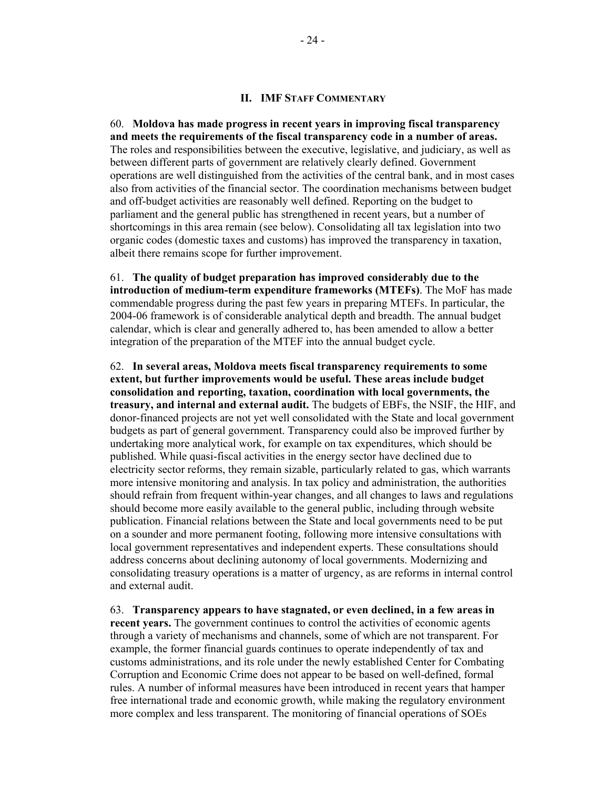## **II. IMF STAFF COMMENTARY**

60. **Moldova has made progress in recent years in improving fiscal transparency and meets the requirements of the fiscal transparency code in a number of areas.**  The roles and responsibilities between the executive, legislative, and judiciary, as well as between different parts of government are relatively clearly defined. Government operations are well distinguished from the activities of the central bank, and in most cases also from activities of the financial sector. The coordination mechanisms between budget and off-budget activities are reasonably well defined. Reporting on the budget to parliament and the general public has strengthened in recent years, but a number of shortcomings in this area remain (see below). Consolidating all tax legislation into two organic codes (domestic taxes and customs) has improved the transparency in taxation, albeit there remains scope for further improvement.

61. **The quality of budget preparation has improved considerably due to the introduction of medium-term expenditure frameworks (MTEFs)**. The MoF has made commendable progress during the past few years in preparing MTEFs. In particular, the 2004-06 framework is of considerable analytical depth and breadth. The annual budget calendar, which is clear and generally adhered to, has been amended to allow a better integration of the preparation of the MTEF into the annual budget cycle.

62. **In several areas, Moldova meets fiscal transparency requirements to some extent, but further improvements would be useful. These areas include budget consolidation and reporting, taxation, coordination with local governments, the treasury, and internal and external audit.** The budgets of EBFs, the NSIF, the HIF, and donor-financed projects are not yet well consolidated with the State and local government budgets as part of general government. Transparency could also be improved further by undertaking more analytical work, for example on tax expenditures, which should be published. While quasi-fiscal activities in the energy sector have declined due to electricity sector reforms, they remain sizable, particularly related to gas, which warrants more intensive monitoring and analysis. In tax policy and administration, the authorities should refrain from frequent within-year changes, and all changes to laws and regulations should become more easily available to the general public, including through website publication. Financial relations between the State and local governments need to be put on a sounder and more permanent footing, following more intensive consultations with local government representatives and independent experts. These consultations should address concerns about declining autonomy of local governments. Modernizing and consolidating treasury operations is a matter of urgency, as are reforms in internal control and external audit.

63. **Transparency appears to have stagnated, or even declined, in a few areas in recent years.** The government continues to control the activities of economic agents through a variety of mechanisms and channels, some of which are not transparent. For example, the former financial guards continues to operate independently of tax and customs administrations, and its role under the newly established Center for Combating Corruption and Economic Crime does not appear to be based on well-defined, formal rules. A number of informal measures have been introduced in recent years that hamper free international trade and economic growth, while making the regulatory environment more complex and less transparent. The monitoring of financial operations of SOEs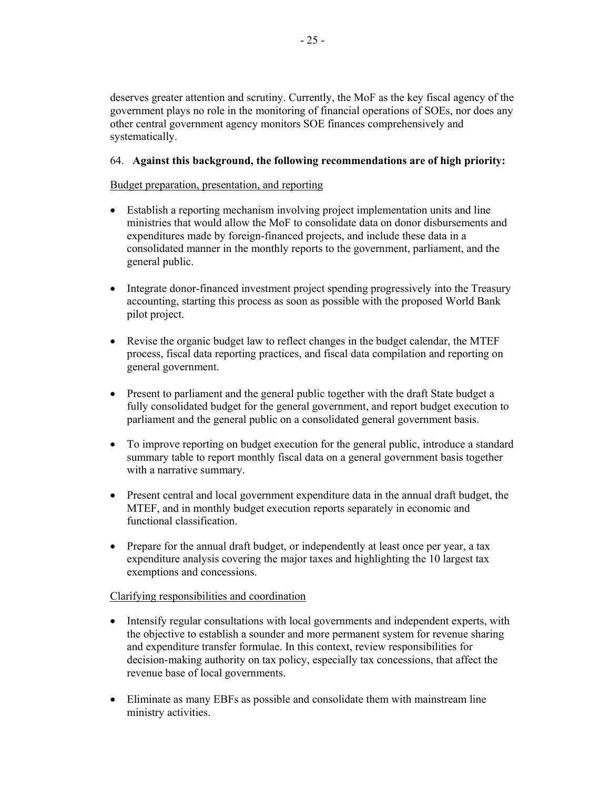deserves greater attention and scrutiny. Currently, the MoF as the key fiscal agency of the government plays no role in the monitoring of financial operations of SOEs, nor does any other central government agency monitors SOE finances comprehensively and systematically.

## 64. **Against this background, the following recommendations are of high priority:**

## Budget preparation, presentation, and reporting

- Establish a reporting mechanism involving project implementation units and line ministries that would allow the MoF to consolidate data on donor disbursements and expenditures made by foreign-financed projects, and include these data in a consolidated manner in the monthly reports to the government, parliament, and the general public.
- Integrate donor-financed investment project spending progressively into the Treasury accounting, starting this process as soon as possible with the proposed World Bank pilot project.
- Revise the organic budget law to reflect changes in the budget calendar, the MTEF process, fiscal data reporting practices, and fiscal data compilation and reporting on general government.
- Present to parliament and the general public together with the draft State budget a fully consolidated budget for the general government, and report budget execution to parliament and the general public on a consolidated general government basis.
- To improve reporting on budget execution for the general public, introduce a standard summary table to report monthly fiscal data on a general government basis together with a narrative summary.
- Present central and local government expenditure data in the annual draft budget, the MTEF, and in monthly budget execution reports separately in economic and functional classification.
- Prepare for the annual draft budget, or independently at least once per year, a tax expenditure analysis covering the major taxes and highlighting the 10 largest tax exemptions and concessions.

## Clarifying responsibilities and coordination

- Intensify regular consultations with local governments and independent experts, with the objective to establish a sounder and more permanent system for revenue sharing and expenditure transfer formulae. In this context, review responsibilities for decision-making authority on tax policy, especially tax concessions, that affect the revenue base of local governments.
- Eliminate as many EBFs as possible and consolidate them with mainstream line ministry activities.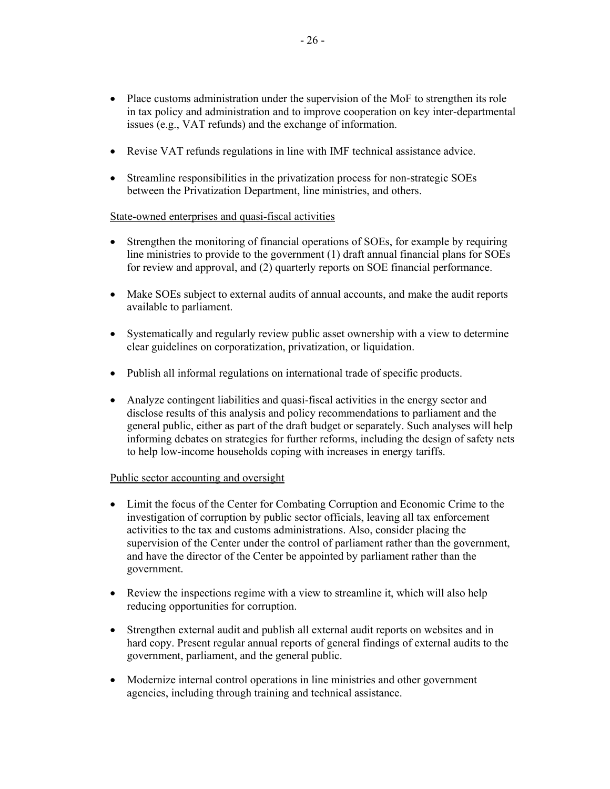- Place customs administration under the supervision of the MoF to strengthen its role in tax policy and administration and to improve cooperation on key inter-departmental issues (e.g., VAT refunds) and the exchange of information.
- Revise VAT refunds regulations in line with IMF technical assistance advice.
- Streamline responsibilities in the privatization process for non-strategic SOEs between the Privatization Department, line ministries, and others.

## State-owned enterprises and quasi-fiscal activities

- Strengthen the monitoring of financial operations of SOEs, for example by requiring line ministries to provide to the government (1) draft annual financial plans for SOEs for review and approval, and (2) quarterly reports on SOE financial performance.
- Make SOEs subject to external audits of annual accounts, and make the audit reports available to parliament.
- Systematically and regularly review public asset ownership with a view to determine clear guidelines on corporatization, privatization, or liquidation.
- Publish all informal regulations on international trade of specific products.
- Analyze contingent liabilities and quasi-fiscal activities in the energy sector and disclose results of this analysis and policy recommendations to parliament and the general public, either as part of the draft budget or separately. Such analyses will help informing debates on strategies for further reforms, including the design of safety nets to help low-income households coping with increases in energy tariffs.

## Public sector accounting and oversight

- Limit the focus of the Center for Combating Corruption and Economic Crime to the investigation of corruption by public sector officials, leaving all tax enforcement activities to the tax and customs administrations. Also, consider placing the supervision of the Center under the control of parliament rather than the government, and have the director of the Center be appointed by parliament rather than the government.
- Review the inspections regime with a view to streamline it, which will also help reducing opportunities for corruption.
- Strengthen external audit and publish all external audit reports on websites and in hard copy. Present regular annual reports of general findings of external audits to the government, parliament, and the general public.
- Modernize internal control operations in line ministries and other government agencies, including through training and technical assistance.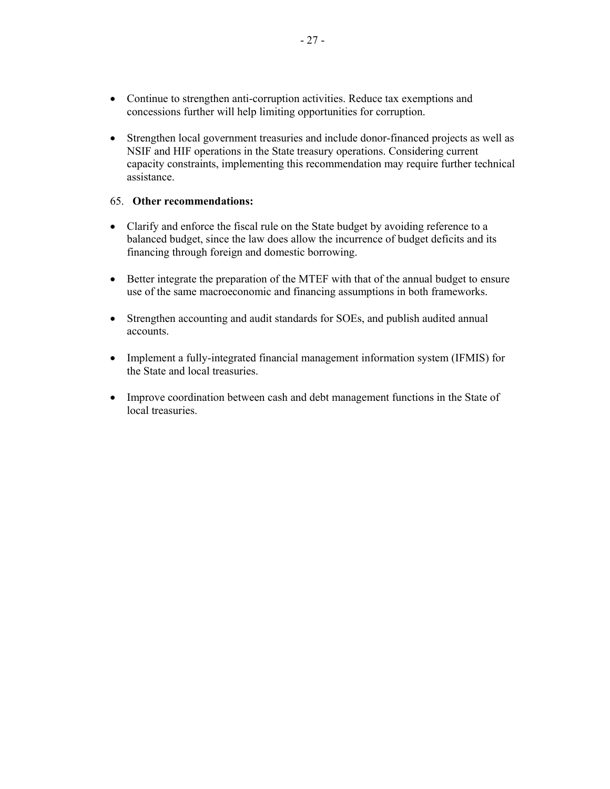- Continue to strengthen anti-corruption activities. Reduce tax exemptions and concessions further will help limiting opportunities for corruption.
- Strengthen local government treasuries and include donor-financed projects as well as NSIF and HIF operations in the State treasury operations. Considering current capacity constraints, implementing this recommendation may require further technical assistance.

## 65. **Other recommendations:**

- Clarify and enforce the fiscal rule on the State budget by avoiding reference to a balanced budget, since the law does allow the incurrence of budget deficits and its financing through foreign and domestic borrowing.
- Better integrate the preparation of the MTEF with that of the annual budget to ensure use of the same macroeconomic and financing assumptions in both frameworks.
- Strengthen accounting and audit standards for SOEs, and publish audited annual accounts.
- Implement a fully-integrated financial management information system (IFMIS) for the State and local treasuries.
- Improve coordination between cash and debt management functions in the State of local treasuries.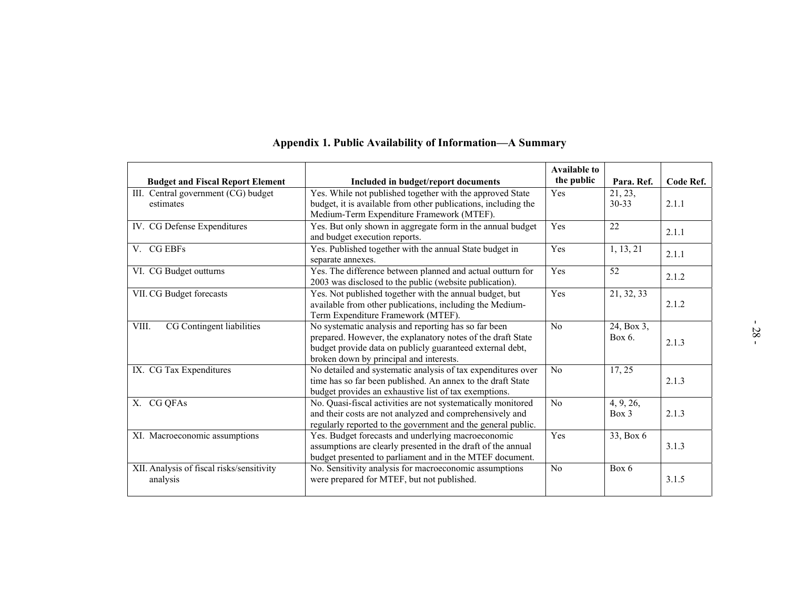|                                                       | Appendix 1. Public Availability of Information—A Summary                                                                                                                                                                    |                                   |                               |           |
|-------------------------------------------------------|-----------------------------------------------------------------------------------------------------------------------------------------------------------------------------------------------------------------------------|-----------------------------------|-------------------------------|-----------|
| <b>Budget and Fiscal Report Element</b>               | Included in budget/report documents                                                                                                                                                                                         | <b>Available to</b><br>the public | Para. Ref.                    | Code Ref. |
| III. Central government (CG) budget<br>estimates      | Yes. While not published together with the approved State<br>budget, it is available from other publications, including the<br>Medium-Term Expenditure Framework (MTEF).                                                    | Yes                               | $\overline{2}1, 23,$<br>30-33 | 2.1.1     |
| IV. CG Defense Expenditures                           | Yes. But only shown in aggregate form in the annual budget<br>and budget execution reports.                                                                                                                                 | Yes                               | $\overline{22}$               | 2.1.1     |
| V. CG EBFs                                            | Yes. Published together with the annual State budget in<br>separate annexes.                                                                                                                                                | Yes                               | 1, 13, 21                     | 2.1.1     |
| VI. CG Budget outturns                                | Yes. The difference between planned and actual outturn for<br>2003 was disclosed to the public (website publication).                                                                                                       | Yes                               | 52                            | 2.1.2     |
| VII. CG Budget forecasts                              | Yes. Not published together with the annual budget, but<br>available from other publications, including the Medium-<br>Term Expenditure Framework (MTEF).                                                                   | Yes                               | 21, 32, 33                    | 2.1.2     |
| CG Contingent liabilities<br>VIII.                    | No systematic analysis and reporting has so far been<br>prepared. However, the explanatory notes of the draft State<br>budget provide data on publicly guaranteed external debt,<br>broken down by principal and interests. | No                                | 24, Box 3,<br>Box 6.          | 2.1.3     |
| IX. CG Tax Expenditures                               | No detailed and systematic analysis of tax expenditures over<br>time has so far been published. An annex to the draft State<br>budget provides an exhaustive list of tax exemptions.                                        | $\overline{No}$                   | 17, 25                        | 2.1.3     |
| X. CG QFAs                                            | No. Quasi-fiscal activities are not systematically monitored<br>and their costs are not analyzed and comprehensively and<br>regularly reported to the government and the general public.                                    | $\overline{No}$                   | 4, 9, 26,<br>$Box$ 3          | 2.1.3     |
| XI. Macroeconomic assumptions                         | Yes. Budget forecasts and underlying macroeconomic<br>assumptions are clearly presented in the draft of the annual<br>budget presented to parliament and in the MTEF document.                                              | Yes                               | 33, Box 6                     | 3.1.3     |
| XII. Analysis of fiscal risks/sensitivity<br>analysis | No. Sensitivity analysis for macroeconomic assumptions<br>were prepared for MTEF, but not published.                                                                                                                        | N <sub>o</sub>                    | Box 6                         | 3.1.5     |